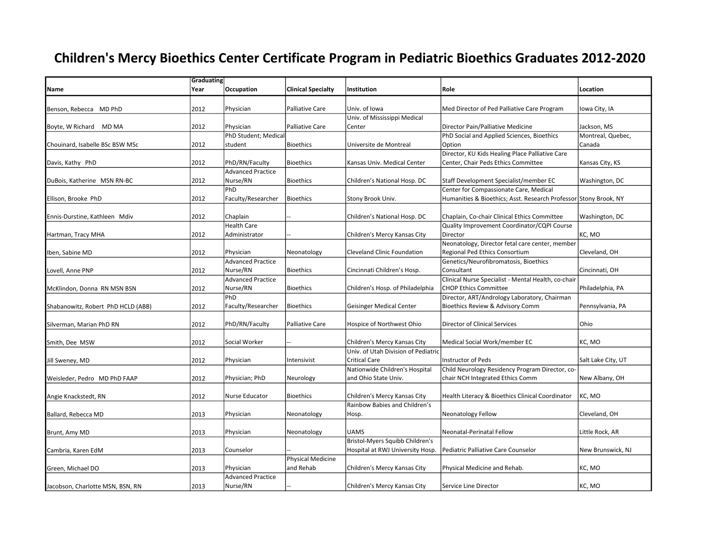## Children's Mercy Bioethics Center Certificate Program in Pediatric Bioethics Graduates 2012-2020

|                                    | Graduating |                          |                           |                                     |                                                                  |                    |
|------------------------------------|------------|--------------------------|---------------------------|-------------------------------------|------------------------------------------------------------------|--------------------|
| Name                               | Year       | Occupation               | <b>Clinical Specialty</b> | Institution                         | Role                                                             | Location           |
|                                    |            |                          |                           |                                     |                                                                  |                    |
| Benson, Rebecca MD PhD             | 2012       | Physician                | <b>Palliative Care</b>    | Univ. of Iowa                       | Med Director of Ped Palliative Care Program                      | Iowa City, IA      |
|                                    |            |                          |                           | Univ. of Mississippi Medical        |                                                                  |                    |
| Boyte, W Richard MD MA             | 2012       | Physician                | <b>Palliative Care</b>    | Center                              | Director Pain/Palliative Medicine                                | Jackson, MS        |
|                                    |            | PhD Student; Medical     |                           |                                     | PhD Social and Applied Sciences, Bioethics                       | Montreal, Quebec,  |
| Chouinard, Isabelle BSc BSW MSc    | 2012       | student                  | <b>Bioethics</b>          | Universite de Montreal              | Option                                                           | Canada             |
|                                    |            |                          |                           |                                     | Director, KU Kids Healing Place Palliative Care                  |                    |
| Davis, Kathy PhD                   | 2012       | PhD/RN/Faculty           | Bioethics                 | Kansas Univ. Medical Center         | Center, Chair Peds Ethics Committee                              | Kansas City, KS    |
|                                    |            | <b>Advanced Practice</b> |                           |                                     |                                                                  |                    |
| DuBois, Katherine MSN RN-BC        | 2012       | Nurse/RN                 | Bioethics                 | Children's National Hosp. DC        | Staff Development Specialist/member EC                           | Washington, DC     |
|                                    |            | PhD                      |                           |                                     | Center for Compassionate Care, Medical                           |                    |
| Ellison, Brooke PhD                | 2012       | Faculty/Researcher       | Bioethics                 | Stony Brook Univ.                   | Humanities & Bioethics; Asst. Research Professor Stony Brook, NY |                    |
|                                    |            |                          |                           |                                     |                                                                  |                    |
| Ennis-Durstine, Kathleen Mdiv      | 2012       | Chaplain                 |                           | Children's National Hosp. DC        | Chaplain, Co-chair Clinical Ethics Committee                     | Washington, DC     |
|                                    |            | <b>Health Care</b>       |                           |                                     | Quality Improvement Coordinator/CQPI Course                      |                    |
| Hartman, Tracy MHA                 | 2012       | Administrator            |                           | Children's Mercy Kansas City        | Director                                                         | KC, MO             |
|                                    |            |                          |                           |                                     | Neonatology, Director fetal care center, member                  |                    |
| Iben, Sabine MD                    | 2012       | Physician                | Neonatology               | Cleveland Clinic Foundation         | Regional Ped Ethics Consortium                                   | Cleveland, OH      |
|                                    |            | <b>Advanced Practice</b> |                           |                                     | Genetics/Neurofibromatosis, Bioethics                            |                    |
| Lovell, Anne PNP                   | 2012       | Nurse/RN                 | Bioethics                 | Cincinnati Children's Hosp.         | Consultant                                                       | Cincinnati, OH     |
|                                    |            | <b>Advanced Practice</b> |                           |                                     | Clinical Nurse Specialist - Mental Health, co-chair              |                    |
| McKlindon, Donna RN MSN BSN        | 2012       | Nurse/RN                 | Bioethics                 | Children's Hosp. of Philadelphia    | <b>CHOP Ethics Committee</b>                                     | Philadelphia, PA   |
|                                    |            | PhD                      |                           |                                     | Director, ART/Andrology Laboratory, Chairman                     |                    |
| Shabanowitz, Robert PhD HCLD (ABB) | 2012       | Faculty/Researcher       | Bioethics                 | <b>Geisinger Medical Center</b>     | Bioethics Review & Advisory Comm                                 | Pennsylvania, PA   |
|                                    |            |                          |                           |                                     |                                                                  |                    |
| Silverman, Marian PhD RN           | 2012       | PhD/RN/Faculty           | Palliative Care           | Hospice of Northwest Ohio           | Director of Clinical Services                                    | Ohio               |
|                                    |            |                          |                           |                                     |                                                                  |                    |
| Smith, Dee MSW                     | 2012       | Social Worker            |                           | Children's Mercy Kansas City        | Medical Social Work/member EC                                    | KC, MO             |
|                                    |            |                          |                           | Univ. of Utah Division of Pediatric |                                                                  |                    |
| Jill Sweney, MD                    | 2012       | Physician                | Intensivist               | <b>Critical Care</b>                | <b>Instructor of Peds</b>                                        | Salt Lake City, UT |
|                                    |            |                          |                           | Nationwide Children's Hospital      | Child Neurology Residency Program Director, co-                  |                    |
| Weisleder, Pedro MD PhD FAAP       | 2012       | Physician; PhD           | Neurology                 | and Ohio State Univ.                | chair NCH Integrated Ethics Comm                                 | New Albany, OH     |
|                                    |            |                          |                           |                                     |                                                                  |                    |
| Angie Knackstedt, RN               | 2012       | Nurse Educator           | Bioethics                 | Children's Mercy Kansas City        | Health Literacy & Bioethics Clinical Coordinator                 | KC, MO             |
|                                    |            |                          |                           | Rainbow Babies and Children's       |                                                                  |                    |
| Ballard, Rebecca MD                | 2013       | Physician                | Neonatology               | Hosp.                               | Neonatology Fellow                                               | Cleveland, OH      |
|                                    |            |                          |                           |                                     |                                                                  |                    |
| Brunt, Amy MD                      | 2013       | Physician                | Neonatology               | <b>UAMS</b>                         | Neonatal-Perinatal Fellow                                        | Little Rock, AR    |
|                                    |            |                          |                           | Bristol-Myers Squibb Children's     |                                                                  |                    |
| Cambria, Karen EdM                 | 2013       | Counselor                |                           | Hospital at RWJ University Hosp.    | Pediatric Palliative Care Counselor                              | New Brunswick, NJ  |
|                                    |            |                          | <b>Physical Medicine</b>  |                                     |                                                                  |                    |
| Green, Michael DO                  | 2013       | Physician                | and Rehab                 | Children's Mercy Kansas City        | Physical Medicine and Rehab.                                     | KC. MO             |
|                                    |            | <b>Advanced Practice</b> |                           |                                     |                                                                  |                    |
| Jacobson, Charlotte MSN, BSN, RN   | 2013       | Nurse/RN                 |                           | Children's Mercy Kansas City        | Service Line Director                                            | KC, MO             |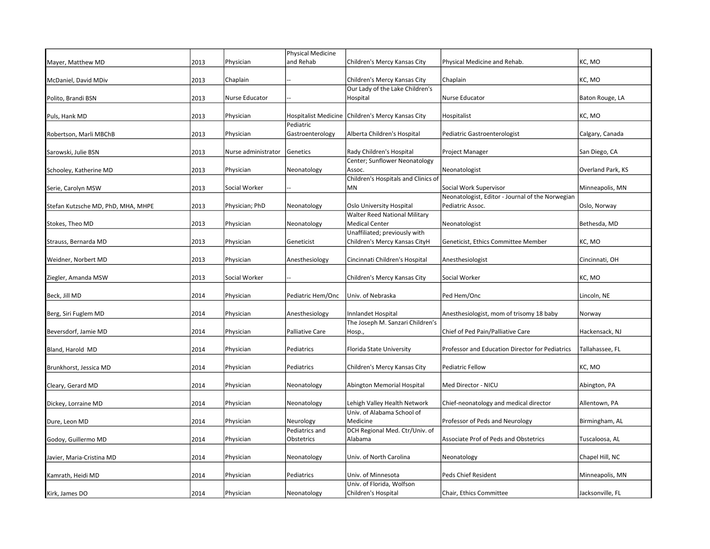|                                    |      |                     | Physical Medicine      |                                                     |                                                  |                   |
|------------------------------------|------|---------------------|------------------------|-----------------------------------------------------|--------------------------------------------------|-------------------|
| Mayer, Matthew MD                  | 2013 | Physician           | and Rehab              | Children's Mercy Kansas City                        | Physical Medicine and Rehab.                     | KC, MO            |
| McDaniel, David MDiv               | 2013 | Chaplain            |                        | Children's Mercy Kansas City                        | Chaplain                                         | KC, MO            |
|                                    |      |                     |                        | Our Lady of the Lake Children's                     |                                                  |                   |
| Polito, Brandi BSN                 | 2013 | Nurse Educator      |                        | Hospital                                            | Nurse Educator                                   | Baton Rouge, LA   |
|                                    |      |                     |                        |                                                     |                                                  |                   |
| Puls, Hank MD                      | 2013 | Physician           |                        | Hospitalist Medicine   Children's Mercy Kansas City | Hospitalist                                      | KC, MO            |
|                                    |      |                     | Pediatric              |                                                     |                                                  |                   |
| Robertson, Marli MBChB             | 2013 | Physician           | Gastroenterology       | Alberta Children's Hospital                         | Pediatric Gastroenterologist                     | Calgary, Canada   |
|                                    |      |                     |                        |                                                     |                                                  |                   |
| Sarowski, Julie BSN                | 2013 | Nurse administrator | Genetics               | Rady Children's Hospital                            | Project Manager                                  | San Diego, CA     |
|                                    |      |                     |                        | Center; Sunflower Neonatology                       |                                                  |                   |
| Schooley, Katherine MD             | 2013 | Physician           | Neonatology            | Assoc.                                              | Neonatologist                                    | Overland Park, KS |
|                                    |      |                     |                        | Children's Hospitals and Clinics of                 |                                                  |                   |
| Serie, Carolyn MSW                 | 2013 | Social Worker       |                        | <b>MN</b>                                           | Social Work Supervisor                           | Minneapolis, MN   |
|                                    |      |                     |                        |                                                     | Neonatologist, Editor - Journal of the Norwegian |                   |
| Stefan Kutzsche MD, PhD, MHA, MHPE | 2013 | Physician; PhD      | Neonatology            | Oslo University Hospital                            | Pediatric Assoc.                                 | Oslo, Norway      |
|                                    |      |                     |                        | <b>Walter Reed National Military</b>                |                                                  |                   |
| Stokes, Theo MD                    | 2013 | Physician           | Neonatology            | <b>Medical Center</b>                               | Neonatologist                                    | Bethesda, MD      |
|                                    |      |                     |                        | Unaffiliated; previously with                       |                                                  |                   |
| Strauss, Bernarda MD               | 2013 | Physician           | Geneticist             | Children's Mercy Kansas CityH                       | Geneticist, Ethics Committee Member              | KC, MO            |
|                                    |      |                     |                        |                                                     |                                                  |                   |
| Weidner, Norbert MD                | 2013 | Physician           | Anesthesiology         | Cincinnati Children's Hospital                      | Anesthesiologist                                 | Cincinnati, OH    |
|                                    |      |                     |                        |                                                     |                                                  |                   |
| Ziegler, Amanda MSW                | 2013 | Social Worker       |                        | Children's Mercy Kansas City                        | Social Worker                                    | KC, MO            |
|                                    |      |                     |                        |                                                     |                                                  |                   |
| Beck, Jill MD                      | 2014 | Physician           | Pediatric Hem/Onc      | Univ. of Nebraska                                   | Ped Hem/Onc                                      | Lincoln, NE       |
|                                    |      |                     |                        |                                                     |                                                  |                   |
| Berg, Siri Fuglem MD               | 2014 | Physician           | Anesthesiology         | Innlandet Hospital                                  | Anesthesiologist, mom of trisomy 18 baby         | Norway            |
|                                    |      |                     |                        | The Joseph M. Sanzari Children's                    |                                                  |                   |
| Beversdorf, Jamie MD               | 2014 | Physician           | <b>Palliative Care</b> | Hosp.,                                              | Chief of Ped Pain/Palliative Care                | Hackensack, NJ    |
|                                    |      |                     |                        |                                                     |                                                  |                   |
| Bland, Harold MD                   | 2014 | Physician           | Pediatrics             | Florida State University                            | Professor and Education Director for Pediatrics  | Tallahassee, FL   |
|                                    |      |                     |                        |                                                     |                                                  |                   |
| Brunkhorst, Jessica MD             | 2014 | Physician           | Pediatrics             | Children's Mercy Kansas City                        | Pediatric Fellow                                 | KC, MO            |
|                                    |      |                     |                        |                                                     |                                                  |                   |
| Cleary, Gerard MD                  | 2014 | Physician           | Neonatology            | Abington Memorial Hospital                          | Med Director - NICU                              | Abington, PA      |
|                                    |      |                     |                        |                                                     |                                                  |                   |
| Dickey, Lorraine MD                | 2014 | Physician           | Neonatology            | Lehigh Valley Health Network                        | Chief-neonatology and medical director           | Allentown, PA     |
|                                    |      |                     |                        | Univ. of Alabama School of                          |                                                  |                   |
| Dure, Leon MD                      | 2014 | Physician           | Neurology              | Medicine                                            | Professor of Peds and Neurology                  | Birmingham, AL    |
|                                    |      |                     | Pediatrics and         | DCH Regional Med. Ctr/Univ. of                      |                                                  |                   |
| Godoy, Guillermo MD                | 2014 | Physician           | Obstetrics             | Alabama                                             | <b>Associate Prof of Peds and Obstetrics</b>     | Tuscaloosa, AL    |
|                                    |      |                     |                        |                                                     |                                                  |                   |
| Javier, Maria-Cristina MD          | 2014 | Physician           | Neonatology            | Univ. of North Carolina                             | Neonatology                                      | Chapel Hill, NC   |
|                                    |      |                     |                        |                                                     |                                                  |                   |
| Kamrath, Heidi MD                  | 2014 | Physician           | Pediatrics             | Univ. of Minnesota                                  | Peds Chief Resident                              | Minneapolis, MN   |
|                                    |      |                     |                        | Univ. of Florida, Wolfson                           |                                                  |                   |
| Kirk, James DO                     | 2014 | Physician           | Neonatology            | Children's Hospital                                 | Chair, Ethics Committee                          | Jacksonville, FL  |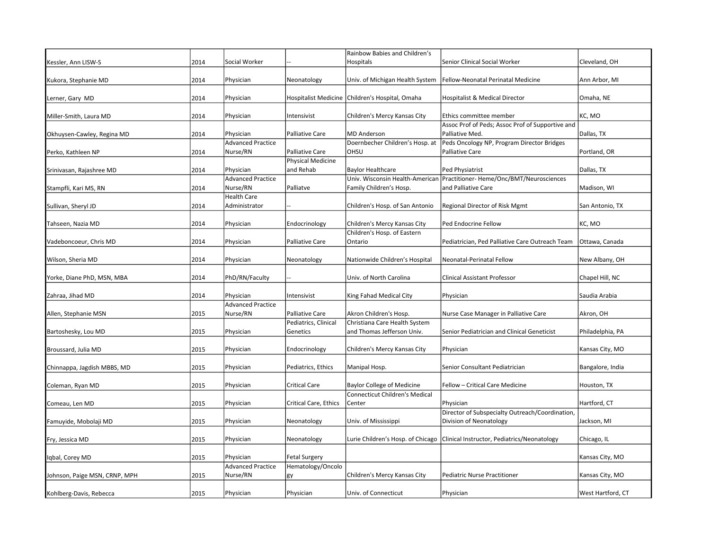|                               |      |                                       |                                             | Rainbow Babies and Children's                               |                                                                                                 |                   |
|-------------------------------|------|---------------------------------------|---------------------------------------------|-------------------------------------------------------------|-------------------------------------------------------------------------------------------------|-------------------|
| Kessler, Ann LISW-S           | 2014 | Social Worker                         |                                             | Hospitals                                                   | Senior Clinical Social Worker                                                                   | Cleveland, OH     |
| Kukora, Stephanie MD          | 2014 | Physician                             | Neonatology                                 | Univ. of Michigan Health System                             | Fellow-Neonatal Perinatal Medicine                                                              | Ann Arbor, MI     |
| Lerner, Gary MD               | 2014 | Physician                             |                                             | Hospitalist Medicine Children's Hospital, Omaha             | Hospitalist & Medical Director                                                                  | Omaha, NE         |
| Miller-Smith, Laura MD        | 2014 | Physician                             | Intensivist                                 | Children's Mercy Kansas City                                | Ethics committee member                                                                         | KC, MO            |
| Okhuysen-Cawley, Regina MD    | 2014 | Physician<br><b>Advanced Practice</b> | <b>Palliative Care</b>                      | <b>MD</b> Anderson                                          | Assoc Prof of Peds; Assoc Prof of Supportive and<br>Palliative Med.                             | Dallas, TX        |
| Perko, Kathleen NP            | 2014 | Nurse/RN                              | Palliative Care<br><b>Physical Medicine</b> | Doernbecher Children's Hosp. at<br>OHSU                     | Peds Oncology NP, Program Director Bridges<br>Palliative Care                                   | Portland, OR      |
| Srinivasan, Rajashree MD      | 2014 | Physician                             | and Rehab                                   | <b>Baylor Healthcare</b>                                    | Ped Physiatrist                                                                                 | Dallas, TX        |
| Stampfli, Kari MS, RN         | 2014 | <b>Advanced Practice</b><br>Nurse/RN  | Palliatve                                   | Family Children's Hosp.                                     | Univ. Wisconsin Health-American Practitioner- Heme/Onc/BMT/Neurosciences<br>and Palliative Care | Madison, WI       |
| Sullivan, Sheryl JD           | 2014 | Health Care<br>Administrator          |                                             | Children's Hosp. of San Antonio                             | Regional Director of Risk Mgmt                                                                  | San Antonio, TX   |
| Tahseen, Nazia MD             | 2014 | Physician                             | Endocrinology                               | Children's Mercy Kansas City                                | Ped Endocrine Fellow                                                                            | KC, MO            |
| Vadeboncoeur, Chris MD        | 2014 | Physician                             | <b>Palliative Care</b>                      | Children's Hosp. of Eastern<br>Ontario                      | Pediatrician, Ped Palliative Care Outreach Team                                                 | Ottawa, Canada    |
| Wilson, Sheria MD             | 2014 | Physician                             | Neonatology                                 | Nationwide Children's Hospital                              | Neonatal-Perinatal Fellow                                                                       | New Albany, OH    |
| Yorke, Diane PhD, MSN, MBA    | 2014 | PhD/RN/Faculty                        |                                             | Univ. of North Carolina                                     | <b>Clinical Assistant Professor</b>                                                             | Chapel Hill, NC   |
| Zahraa, Jihad MD              | 2014 | Physician                             | Intensivist                                 | King Fahad Medical City                                     | Physician                                                                                       | Saudia Arabia     |
| Allen, Stephanie MSN          | 2015 | <b>Advanced Practice</b><br>Nurse/RN  | <b>Palliative Care</b>                      | Akron Children's Hosp.                                      | Nurse Case Manager in Palliative Care                                                           | Akron, OH         |
| Bartoshesky, Lou MD           | 2015 | Physician                             | Pediatrics, Clinical<br>Genetics            | Christiana Care Health System<br>and Thomas Jefferson Univ. | Senior Pediatrician and Clinical Geneticist                                                     | Philadelphia, PA  |
| Broussard, Julia MD           | 2015 | Physician                             | Endocrinology                               | Children's Mercy Kansas City                                | Physician                                                                                       | Kansas City, MO   |
| Chinnappa, Jagdish MBBS, MD   | 2015 | Physician                             | Pediatrics, Ethics                          | Manipal Hosp.                                               | Senior Consultant Pediatrician                                                                  | Bangalore, India  |
| Coleman, Ryan MD              | 2015 | Physician                             | <b>Critical Care</b>                        | <b>Baylor College of Medicine</b>                           | Fellow - Critical Care Medicine                                                                 | Houston, TX       |
| Comeau, Len MD                | 2015 | Physician                             | Critical Care, Ethics                       | <b>Connecticut Children's Medical</b><br>Center             | Physician                                                                                       | Hartford, CT      |
| Famuyide, Mobolaji MD         | 2015 | Physician                             | Neonatology                                 | Univ. of Mississippi                                        | Director of Subspecialty Outreach/Coordination,<br>Division of Neonatology                      | Jackson, MI       |
| Fry, Jessica MD               | 2015 | Physician                             | Neonatology                                 | Lurie Children's Hosp. of Chicago                           | Clinical Instructor, Pediatrics/Neonatology                                                     | Chicago, IL       |
| Iqbal, Corey MD               | 2015 | Physician                             | Fetal Surgery                               |                                                             |                                                                                                 | Kansas City, MO   |
| Johnson, Paige MSN, CRNP, MPH | 2015 | <b>Advanced Practice</b><br>Nurse/RN  | Hematology/Oncolo<br> gy                    | Children's Mercy Kansas City                                | Pediatric Nurse Practitioner                                                                    | Kansas City, MO   |
| Kohlberg-Davis, Rebecca       | 2015 | Physician                             | Physician                                   | Univ. of Connecticut                                        | Physician                                                                                       | West Hartford, CT |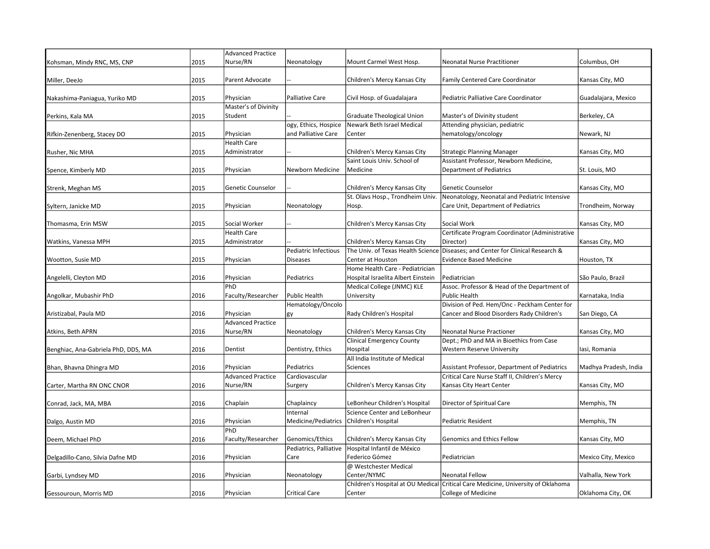|                                     |      | <b>Advanced Practice</b> |                        |                                    |                                                                                  |                       |
|-------------------------------------|------|--------------------------|------------------------|------------------------------------|----------------------------------------------------------------------------------|-----------------------|
| Kohsman, Mindy RNC, MS, CNP         | 2015 | Nurse/RN                 | Neonatology            | Mount Carmel West Hosp.            | Neonatal Nurse Practitioner                                                      | Columbus, OH          |
| Miller, DeeJo                       | 2015 | Parent Advocate          |                        | Children's Mercy Kansas City       | <b>Family Centered Care Coordinator</b>                                          | Kansas City, MO       |
|                                     |      |                          |                        |                                    |                                                                                  |                       |
| Nakashima-Paniagua, Yuriko MD       | 2015 | Physician                | <b>Palliative Care</b> | Civil Hosp. of Guadalajara         | Pediatric Palliative Care Coordinator                                            | Guadalajara, Mexico   |
|                                     |      | Master's of Divinity     |                        |                                    |                                                                                  |                       |
| Perkins, Kala MA                    | 2015 | Student                  |                        | Graduate Theological Union         | Master's of Divinity student                                                     | Berkeley, CA          |
|                                     |      |                          | ogy, Ethics, Hospice   | Newark Beth Israel Medical         | Attending physician, pediatric                                                   |                       |
| Rifkin-Zenenberg, Stacey DO         | 2015 | Physician                | and Palliative Care    | Center                             | hematology/oncology                                                              | Newark, NJ            |
|                                     |      | Health Care              |                        |                                    |                                                                                  |                       |
| Rusher, Nic MHA                     | 2015 | Administrator            |                        | Children's Mercy Kansas City       | <b>Strategic Planning Manager</b>                                                | Kansas City, MO       |
|                                     |      |                          |                        | Saint Louis Univ. School of        | Assistant Professor, Newborn Medicine,                                           |                       |
| Spence, Kimberly MD                 | 2015 | Physician                | Newborn Medicine       | Medicine                           | <b>Department of Pediatrics</b>                                                  | St. Louis, MO         |
|                                     |      |                          |                        |                                    |                                                                                  |                       |
| Strenk, Meghan MS                   | 2015 | Genetic Counselor        |                        | Children's Mercy Kansas City       | Genetic Counselor                                                                | Kansas City, MO       |
|                                     |      |                          |                        | St. Olavs Hosp., Trondheim Univ.   | Neonatology, Neonatal and Pediatric Intensive                                    |                       |
| Syltern, Janicke MD                 | 2015 | Physician                | Neonatology            | Hosp.                              | Care Unit, Department of Pediatrics                                              | Trondheim, Norway     |
|                                     |      |                          |                        |                                    |                                                                                  |                       |
| Thomasma, Erin MSW                  | 2015 | Social Worker            |                        | Children's Mercy Kansas City       | Social Work                                                                      | Kansas City, MO       |
|                                     |      | <b>Health Care</b>       |                        |                                    | Certificate Program Coordinator (Administrative                                  |                       |
| Watkins, Vanessa MPH                | 2015 | Administrator            |                        | Children's Mercy Kansas City       | Director)                                                                        | Kansas City, MO       |
|                                     |      |                          | Pediatric Infectious   |                                    | The Univ. of Texas Health Science Diseases; and Center for Clinical Research &   |                       |
| Wootton, Susie MD                   | 2015 | Physician                | <b>Diseases</b>        | Center at Houston                  | <b>Evidence Based Medicine</b>                                                   | Houston, TX           |
|                                     |      |                          |                        | Home Health Care - Pediatrician    |                                                                                  |                       |
| Angelelli, Cleyton MD               | 2016 | Physician                | Pediatrics             | Hospital Israelita Albert Einstein | Pediatrician                                                                     | São Paulo, Brazil     |
|                                     |      | PhD                      |                        | Medical College (JNMC) KLE         | Assoc. Professor & Head of the Department of                                     |                       |
| Angolkar, Mubashir PhD              | 2016 | Faculty/Researcher       | Public Health          | University                         | <b>Public Health</b>                                                             | Karnataka, India      |
|                                     |      |                          | Hematology/Oncolo      |                                    | Division of Ped. Hem/Onc - Peckham Center for                                    |                       |
| Aristizabal, Paula MD               | 2016 | Physician                | gy                     | Rady Children's Hospital           | Cancer and Blood Disorders Rady Children's                                       | San Diego, CA         |
|                                     |      | <b>Advanced Practice</b> |                        |                                    |                                                                                  |                       |
| Atkins, Beth APRN                   | 2016 | Nurse/RN                 | Neonatology            | Children's Mercy Kansas City       | Neonatal Nurse Practioner                                                        | Kansas City, MO       |
|                                     |      |                          |                        | <b>Clinical Emergency County</b>   | Dept.; PhD and MA in Bioethics from Case                                         |                       |
| Benghiac, Ana-Gabriela PhD, DDS, MA | 2016 | Dentist                  | Dentistry, Ethics      | Hospital                           | <b>Western Reserve University</b>                                                | lasi, Romania         |
|                                     |      |                          |                        | All India Institute of Medical     |                                                                                  |                       |
| Bhan, Bhavna Dhingra MD             | 2016 | Physician                | Pediatrics             | Sciences                           | Assistant Professor, Department of Pediatrics                                    | Madhya Pradesh, India |
|                                     |      | <b>Advanced Practice</b> | Cardiovascular         |                                    | Critical Care Nurse Staff II, Children's Mercy                                   |                       |
| Carter, Martha RN ONC CNOR          | 2016 | Nurse/RN                 | Surgery                | Children's Mercy Kansas City       | Kansas City Heart Center                                                         | Kansas City, MO       |
|                                     |      |                          |                        |                                    |                                                                                  |                       |
| Conrad, Jack, MA, MBA               | 2016 | Chaplain                 | Chaplaincy             | LeBonheur Children's Hospital      | Director of Spiritual Care                                                       | Memphis, TN           |
|                                     |      |                          | Internal               | Science Center and LeBonheur       |                                                                                  |                       |
| Dalgo, Austin MD                    | 2016 | Physician                | Medicine/Pediatrics    | Children's Hospital                | <b>Pediatric Resident</b>                                                        | Memphis, TN           |
|                                     |      | PhD                      |                        |                                    |                                                                                  |                       |
| Deem, Michael PhD                   | 2016 | Faculty/Researcher       | Genomics/Ethics        | Children's Mercy Kansas City       | Genomics and Ethics Fellow                                                       | Kansas City, MO       |
|                                     |      |                          | Pediatrics, Palliative | Hospital Infantil de México        |                                                                                  |                       |
|                                     | 2016 |                          | Care                   | Federico Gómez                     | Pediatrician                                                                     |                       |
| Delgadillo-Cano, Silvia Dafne MD    |      | Physician                |                        | @ Westchester Medical              |                                                                                  | Mexico City, Mexico   |
|                                     | 2016 | Physician                |                        | Center/NYMC                        | <b>Neonatal Fellow</b>                                                           | Valhalla, New York    |
| Garbi, Lyndsey MD                   |      |                          | Neonatology            |                                    | Children's Hospital at OU Medical Critical Care Medicine, University of Oklahoma |                       |
|                                     |      |                          |                        |                                    |                                                                                  |                       |
| Gessouroun, Morris MD               | 2016 | Physician                | <b>Critical Care</b>   | Center                             | <b>College of Medicine</b>                                                       | Oklahoma City, OK     |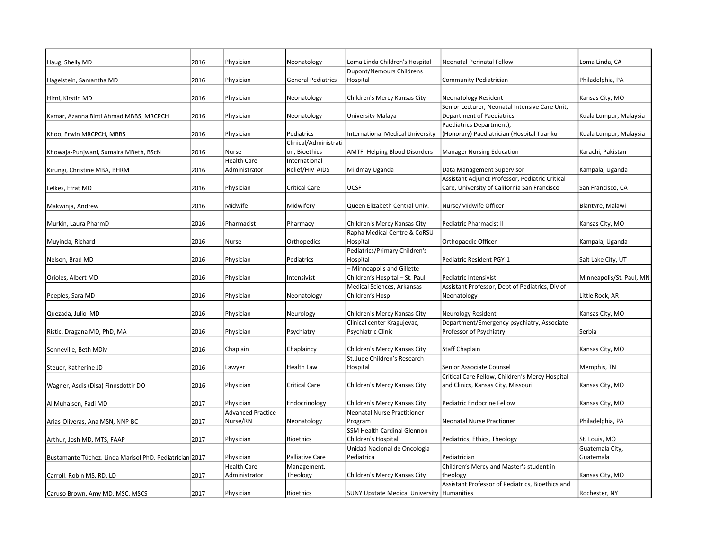| Haug, Shelly MD                                         | 2016 | Physician                | Neonatology               | Loma Linda Children's Hospital                    | Neonatal-Perinatal Fellow                        | Loma Linda, CA           |
|---------------------------------------------------------|------|--------------------------|---------------------------|---------------------------------------------------|--------------------------------------------------|--------------------------|
|                                                         |      |                          |                           | <b>Dupont/Nemours Childrens</b>                   |                                                  |                          |
|                                                         | 2016 | Physician                | <b>General Pediatrics</b> | Hospital                                          | Community Pediatrician                           | Philadelphia, PA         |
| Hagelstein, Samantha MD                                 |      |                          |                           |                                                   |                                                  |                          |
| Hirni, Kirstin MD                                       | 2016 | Physician                | Neonatology               | Children's Mercy Kansas City                      | Neonatology Resident                             | Kansas City, MO          |
|                                                         |      |                          |                           |                                                   | Senior Lecturer, Neonatal Intensive Care Unit,   |                          |
| Kamar, Azanna Binti Ahmad MBBS, MRCPCH                  | 2016 | Physician                | Neonatology               | University Malaya                                 | Department of Paediatrics                        | Kuala Lumpur, Malaysia   |
|                                                         |      |                          |                           |                                                   | Paediatrics Department),                         |                          |
| Khoo, Erwin MRCPCH, MBBS                                | 2016 | Physician                | Pediatrics                | <b>International Medical University</b>           | (Honorary) Paediatrician (Hospital Tuanku        | Kuala Lumpur, Malaysia   |
|                                                         |      |                          | Clinical/Administrati     |                                                   |                                                  |                          |
| Khowaja-Punjwani, Sumaira MBeth, BScN                   | 2016 | Nurse                    | on, Bioethics             | <b>AMTF-Helping Blood Disorders</b>               | <b>Manager Nursing Education</b>                 | Karachi, Pakistan        |
|                                                         |      | <b>Health Care</b>       | International             |                                                   |                                                  |                          |
| Kirungi, Christine MBA, BHRM                            | 2016 | Administrator            | Relief/HIV-AIDS           | Mildmay Uganda                                    | Data Management Supervisor                       | Kampala, Uganda          |
|                                                         |      |                          |                           |                                                   | Assistant Adjunct Professor, Pediatric Critical  |                          |
| Lelkes, Efrat MD                                        | 2016 | Physician                | <b>Critical Care</b>      | <b>UCSF</b>                                       | Care, University of California San Francisco     | San Francisco, CA        |
|                                                         |      |                          |                           |                                                   |                                                  |                          |
| Makwinja, Andrew                                        | 2016 | Midwife                  | Midwifery                 | Queen Elizabeth Central Univ.                     | Nurse/Midwife Officer                            | Blantyre, Malawi         |
|                                                         |      |                          |                           |                                                   |                                                  |                          |
| Murkin, Laura PharmD                                    | 2016 | Pharmacist               | Pharmacy                  | Children's Mercy Kansas City                      | Pediatric Pharmacist II                          | Kansas City, MO          |
|                                                         |      |                          |                           | Rapha Medical Centre & CoRSU                      |                                                  |                          |
| Muyinda, Richard                                        | 2016 | Nurse                    | Orthopedics               | Hospital                                          | Orthopaedic Officer                              | Kampala, Uganda          |
|                                                         |      |                          |                           | Pediatrics/Primary Children's                     |                                                  |                          |
| Nelson, Brad MD                                         | 2016 | Physician                | Pediatrics                | Hospital                                          | Pediatric Resident PGY-1                         | Salt Lake City, UT       |
|                                                         |      |                          |                           | - Minneapolis and Gillette                        |                                                  |                          |
| Orioles, Albert MD                                      | 2016 | Physician                | Intensivist               | Children's Hospital - St. Paul                    | Pediatric Intensivist                            | Minneapolis/St. Paul, MN |
|                                                         |      |                          |                           | Medical Sciences, Arkansas                        | Assistant Professor, Dept of Pediatrics, Div of  |                          |
|                                                         |      |                          |                           | Children's Hosp.                                  |                                                  | Little Rock, AR          |
| Peeples, Sara MD                                        | 2016 | Physician                | Neonatology               |                                                   | Neonatology                                      |                          |
| Quezada, Julio MD                                       | 2016 | Physician                | Neurology                 | Children's Mercy Kansas City                      | Neurology Resident                               | Kansas City, MO          |
|                                                         |      |                          |                           | Clinical center Kragujevac,                       | Department/Emergency psychiatry, Associate       |                          |
|                                                         |      |                          |                           |                                                   |                                                  |                          |
| Ristic, Dragana MD, PhD, MA                             | 2016 | Physician                | Psychiatry                | Psychiatric Clinic                                | Professor of Psychiatry                          | Serbia                   |
|                                                         | 2016 | Chaplain                 | Chaplaincy                | Children's Mercy Kansas City                      | <b>Staff Chaplain</b>                            | Kansas City, MO          |
| Sonneville, Beth MDiv                                   |      |                          |                           | St. Jude Children's Research                      |                                                  |                          |
|                                                         | 2016 |                          |                           |                                                   |                                                  |                          |
| Steuer, Katherine JD                                    |      | Lawyer                   | <b>Health Law</b>         | Hospital                                          | Senior Associate Counsel                         | Memphis, TN              |
|                                                         |      |                          |                           |                                                   | Critical Care Fellow, Children's Mercy Hospital  |                          |
| Wagner, Asdis (Disa) Finnsdottir DO                     | 2016 | Physician                | <b>Critical Care</b>      | Children's Mercy Kansas City                      | and Clinics, Kansas City, Missouri               | Kansas City, MO          |
|                                                         |      |                          |                           |                                                   |                                                  |                          |
| Al Muhaisen, Fadi MD                                    | 2017 | Physician                | Endocrinology             | Children's Mercy Kansas City                      | Pediatric Endocrine Fellow                       | Kansas City, MO          |
|                                                         |      | <b>Advanced Practice</b> |                           | Neonatal Nurse Practitioner                       |                                                  |                          |
| Arias-Oliveras, Ana MSN, NNP-BC                         | 2017 | Nurse/RN                 | Neonatology               | Program                                           | <b>Neonatal Nurse Practioner</b>                 | Philadelphia, PA         |
|                                                         |      |                          |                           | SSM Health Cardinal Glennon                       |                                                  |                          |
| Arthur, Josh MD, MTS, FAAP                              | 2017 | Physician                | Bioethics                 | Children's Hospital                               | Pediatrics, Ethics, Theology                     | St. Louis, MO            |
|                                                         |      |                          |                           | Unidad Nacional de Oncologia                      |                                                  | Guatemala City,          |
| Bustamante Túchez, Linda Marisol PhD, Pediatrician 2017 |      | Physician                | <b>Palliative Care</b>    | Pediatrica                                        | Pediatrician                                     | Guatemala                |
|                                                         |      | <b>Health Care</b>       | Management,               |                                                   | Children's Mercy and Master's student in         |                          |
| Carroll, Robin MS, RD, LD                               | 2017 | Administrator            | Theology                  | Children's Mercy Kansas City                      | theology                                         | Kansas City, MO          |
|                                                         |      |                          |                           |                                                   | Assistant Professor of Pediatrics, Bioethics and |                          |
| Caruso Brown, Amy MD, MSC, MSCS                         | 2017 | Physician                | Bioethics                 | <b>SUNY Upstate Medical University Humanities</b> |                                                  | Rochester, NY            |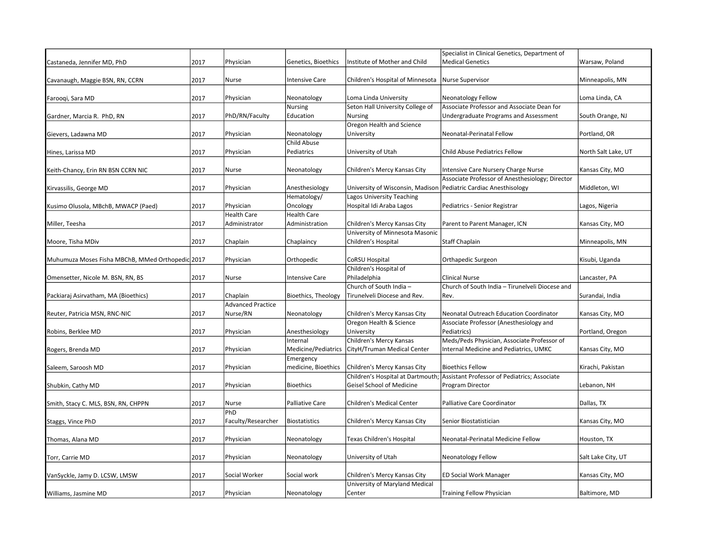|                                                  |      |                          |                       |                                                                    | Specialist in Clinical Genetics, Department of                                         |                     |
|--------------------------------------------------|------|--------------------------|-----------------------|--------------------------------------------------------------------|----------------------------------------------------------------------------------------|---------------------|
| Castaneda, Jennifer MD, PhD                      | 2017 | Physician                | Genetics, Bioethics   | Institute of Mother and Child                                      | <b>Medical Genetics</b>                                                                | Warsaw, Poland      |
| Cavanaugh, Maggie BSN, RN, CCRN                  | 2017 | Nurse                    | <b>Intensive Care</b> | Children's Hospital of Minnesota                                   | Nurse Supervisor                                                                       | Minneapolis, MN     |
|                                                  |      |                          |                       |                                                                    |                                                                                        |                     |
| Farooqi, Sara MD                                 | 2017 | Physician                | Neonatology           | Loma Linda University                                              | Neonatology Fellow                                                                     | Loma Linda, CA      |
|                                                  |      |                          | Nursing               | Seton Hall University College of                                   | Associate Professor and Associate Dean for                                             |                     |
| Gardner, Marcia R. PhD, RN                       | 2017 | PhD/RN/Faculty           | Education             | <b>Nursing</b>                                                     | Undergraduate Programs and Assessment                                                  | South Orange, NJ    |
|                                                  |      |                          |                       | Oregon Health and Science                                          |                                                                                        |                     |
| Gievers, Ladawna MD                              | 2017 | Physician                | Neonatology           | University                                                         | Neonatal-Perinatal Fellow                                                              | Portland, OR        |
|                                                  |      |                          | Child Abuse           |                                                                    |                                                                                        |                     |
| Hines, Larissa MD                                | 2017 | Physician                | Pediatrics            | University of Utah                                                 | Child Abuse Pediatrics Fellow                                                          | North Salt Lake, UT |
|                                                  |      |                          |                       |                                                                    |                                                                                        |                     |
| Keith-Chancy, Erin RN BSN CCRN NIC               | 2017 | Nurse                    | Neonatology           | Children's Mercy Kansas City                                       | Intensive Care Nursery Charge Nurse<br>Associate Professor of Anesthesiology; Director | Kansas City, MO     |
| Kirvassilis, George MD                           | 2017 | Physician                | Anesthesiology        | University of Wisconsin, Madison   Pediatric Cardiac Anesthisology |                                                                                        | Middleton, WI       |
|                                                  |      |                          | Hematology/           | Lagos University Teaching                                          |                                                                                        |                     |
| Kusimo Olusola, MBchB, MWACP (Paed)              | 2017 | Physician                | Oncology              | Hospital Idi Araba Lagos                                           | Pediatrics - Senior Registrar                                                          | Lagos, Nigeria      |
|                                                  |      | <b>Health Care</b>       | <b>Health Care</b>    |                                                                    |                                                                                        |                     |
| Miller, Teesha                                   | 2017 | Administrator            | Administration        | Children's Mercy Kansas City                                       | Parent to Parent Manager, ICN                                                          | Kansas City, MO     |
|                                                  |      |                          |                       | University of Minnesota Masonic                                    |                                                                                        |                     |
| Moore, Tisha MDiv                                | 2017 | Chaplain                 | Chaplaincy            | Children's Hospital                                                | <b>Staff Chaplain</b>                                                                  | Minneapolis, MN     |
|                                                  |      |                          |                       |                                                                    |                                                                                        |                     |
| Muhumuza Moses Fisha MBChB, MMed Orthopedic 2017 |      | Physician                | Orthopedic            | CoRSU Hospital                                                     | Orthapedic Surgeon                                                                     | Kisubi, Uganda      |
|                                                  |      |                          |                       | Children's Hospital of                                             |                                                                                        |                     |
| Omensetter, Nicole M. BSN, RN, BS                | 2017 | Nurse                    | <b>Intensive Care</b> | Philadelphia                                                       | Clinical Nurse                                                                         | Lancaster, PA       |
|                                                  |      |                          |                       | Church of South India -                                            | Church of South India - Tirunelveli Diocese and                                        |                     |
| Packiaraj Asirvatham, MA (Bioethics)             | 2017 | Chaplain                 | Bioethics, Theology   | Tirunelveli Diocese and Rev.                                       | Rev.                                                                                   | Surandai, India     |
|                                                  |      | <b>Advanced Practice</b> |                       |                                                                    |                                                                                        |                     |
| Reuter, Patricia MSN, RNC-NIC                    | 2017 | Nurse/RN                 | Neonatology           | Children's Mercy Kansas City                                       | Neonatal Outreach Education Coordinator                                                | Kansas City, MO     |
|                                                  |      |                          |                       | Oregon Health & Science                                            | Associate Professor (Anesthesiology and                                                |                     |
| Robins, Berklee MD                               | 2017 | Physician                | Anesthesiology        | University                                                         | Pediatrics)                                                                            | Portland, Oregon    |
|                                                  |      |                          | Internal              | Children's Mercy Kansas                                            | Meds/Peds Physician, Associate Professor of                                            |                     |
| Rogers, Brenda MD                                | 2017 | Physician                | Medicine/Pediatrics   | CityH/Truman Medical Center                                        | <b>Internal Medicine and Pediatrics, UMKC</b>                                          | Kansas City, MO     |
|                                                  |      |                          | Emergency             |                                                                    |                                                                                        |                     |
| Saleem, Saroosh MD                               | 2017 | Physician                | medicine, Bioethics   | Children's Mercy Kansas City                                       | <b>Bioethics Fellow</b>                                                                | Kirachi, Pakistan   |
|                                                  |      |                          |                       |                                                                    | Children's Hospital at Dartmouth; Assistant Professor of Pediatrics; Associate         |                     |
| Shubkin, Cathy MD                                | 2017 | Physician                | Bioethics             | Geisel School of Medicine                                          | Program Director                                                                       | Lebanon, NH         |
|                                                  |      |                          |                       |                                                                    |                                                                                        |                     |
| Smith, Stacy C. MLS, BSN, RN, CHPPN              | 2017 | Nurse<br>PhD             | Palliative Care       | Children's Medical Center                                          | Palliative Care Coordinator                                                            | Dallas, TX          |
|                                                  |      |                          |                       |                                                                    |                                                                                        |                     |
| Staggs, Vince PhD                                | 2017 | Faculty/Researcher       | Biostatistics         | Children's Mercy Kansas City                                       | Senior Biostatistician                                                                 | Kansas City, MO     |
| Thomas, Alana MD                                 | 2017 | Physician                | Neonatology           | Texas Children's Hospital                                          | Neonatal-Perinatal Medicine Fellow                                                     | Houston, TX         |
|                                                  |      |                          |                       |                                                                    |                                                                                        |                     |
| Torr, Carrie MD                                  | 2017 | Physician                | Neonatology           | University of Utah                                                 | Neonatology Fellow                                                                     | Salt Lake City, UT  |
|                                                  |      |                          |                       |                                                                    |                                                                                        |                     |
| VanSyckle, Jamy D. LCSW, LMSW                    | 2017 | Social Worker            | Social work           | Children's Mercy Kansas City                                       | <b>ED Social Work Manager</b>                                                          | Kansas City, MO     |
|                                                  |      |                          |                       | University of Maryland Medical                                     |                                                                                        |                     |
| Williams, Jasmine MD                             | 2017 | Physician                | Neonatology           | Center                                                             | Training Fellow Physician                                                              | Baltimore, MD       |
|                                                  |      |                          |                       |                                                                    |                                                                                        |                     |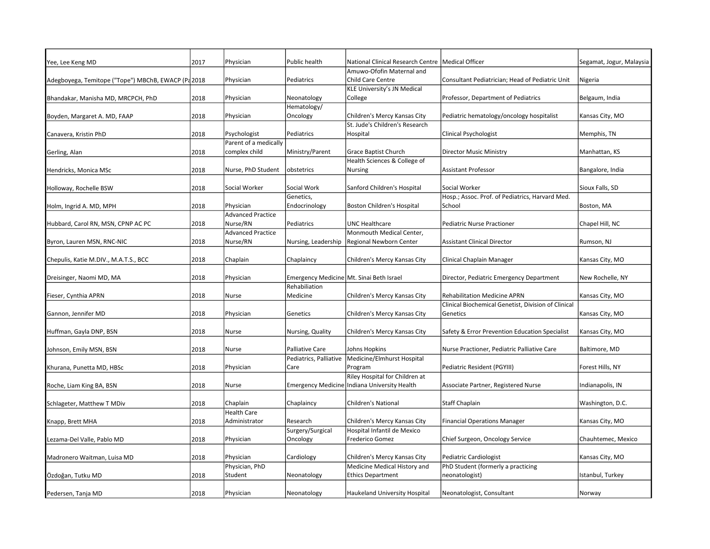| Yee, Lee Keng MD                                   | 2017 | Physician                | Public health                            | National Clinical Research Centre   Medical Officer |                                                     | Segamat, Jogur, Malaysia |
|----------------------------------------------------|------|--------------------------|------------------------------------------|-----------------------------------------------------|-----------------------------------------------------|--------------------------|
|                                                    |      |                          |                                          | Amuwo-Ofofin Maternal and                           |                                                     |                          |
| Adegboyega, Temitope ("Tope") MBChB, EWACP (Pa2018 |      | Physician                | Pediatrics                               | Child Care Centre                                   | Consultant Pediatrician; Head of Pediatric Unit     | Nigeria                  |
|                                                    |      |                          |                                          | KLE University's JN Medical                         |                                                     |                          |
| Bhandakar, Manisha MD, MRCPCH, PhD                 | 2018 | Physician                | Neonatology                              | College                                             | Professor, Department of Pediatrics                 | Belgaum, India           |
|                                                    |      |                          | Hematology/                              |                                                     |                                                     |                          |
| Boyden, Margaret A. MD, FAAP                       | 2018 | Physician                | Oncology                                 | Children's Mercy Kansas City                        | Pediatric hematology/oncology hospitalist           | Kansas City, MO          |
|                                                    |      |                          |                                          | St. Jude's Children's Research                      |                                                     |                          |
| Canavera, Kristin PhD                              | 2018 | Psychologist             | Pediatrics                               | Hospital                                            | Clinical Psychologist                               | Memphis, TN              |
|                                                    |      | Parent of a medically    |                                          |                                                     |                                                     |                          |
| Gerling, Alan                                      | 2018 | complex child            | Ministry/Parent                          | Grace Baptist Church                                | <b>Director Music Ministry</b>                      | Manhattan, KS            |
|                                                    |      |                          |                                          | Health Sciences & College of                        |                                                     |                          |
| Hendricks, Monica MSc                              | 2018 | Nurse, PhD Student       | obstetrics                               | Nursing                                             | <b>Assistant Professor</b>                          | Bangalore, India         |
|                                                    |      |                          |                                          |                                                     |                                                     |                          |
| Holloway, Rochelle BSW                             | 2018 | Social Worker            | Social Work                              | Sanford Children's Hospital                         | Social Worker                                       | Sioux Falls, SD          |
|                                                    |      |                          | Genetics,                                |                                                     | Hosp.; Assoc. Prof. of Pediatrics, Harvard Med.     |                          |
| Holm, Ingrid A. MD, MPH                            | 2018 | Physician                | Endocrinology                            | Boston Children's Hospital                          | School                                              | Boston, MA               |
|                                                    |      | <b>Advanced Practice</b> |                                          |                                                     |                                                     |                          |
| Hubbard, Carol RN, MSN, CPNP AC PC                 | 2018 | Nurse/RN                 | Pediatrics                               | <b>UNC Healthcare</b>                               | <b>Pediatric Nurse Practioner</b>                   | Chapel Hill, NC          |
|                                                    |      | <b>Advanced Practice</b> |                                          | Monmouth Medical Center,                            |                                                     |                          |
| Byron, Lauren MSN, RNC-NIC                         | 2018 | Nurse/RN                 | Nursing, Leadership                      | Regional Newborn Center                             | <b>Assistant Clinical Director</b>                  | Rumson, NJ               |
|                                                    |      |                          |                                          |                                                     |                                                     |                          |
| Chepulis, Katie M.DIV., M.A.T.S., BCC              | 2018 | Chaplain                 | Chaplaincy                               | Children's Mercy Kansas City                        | Clinical Chaplain Manager                           | Kansas City, MO          |
|                                                    |      |                          |                                          |                                                     |                                                     |                          |
| Dreisinger, Naomi MD, MA                           | 2018 | Physician                | Emergency Medicine Mt. Sinai Beth Israel |                                                     | Director, Pediatric Emergency Department            | New Rochelle, NY         |
|                                                    |      |                          | Rehabiliation                            |                                                     |                                                     |                          |
| Fieser, Cynthia APRN                               | 2018 | Nurse                    | Medicine                                 | Children's Mercy Kansas City                        | <b>Rehabilitation Medicine APRN</b>                 | Kansas City, MO          |
|                                                    |      |                          |                                          |                                                     | Clinical Biochemical Genetist, Division of Clinical |                          |
| Gannon, Jennifer MD                                | 2018 | Physician                | Genetics                                 | Children's Mercy Kansas City                        | Genetics                                            | Kansas City, MO          |
|                                                    |      |                          |                                          |                                                     |                                                     |                          |
| Huffman, Gayla DNP, BSN                            | 2018 | Nurse                    | Nursing, Quality                         | Children's Mercy Kansas City                        | Safety & Error Prevention Education Specialist      | Kansas City, MO          |
|                                                    |      |                          |                                          |                                                     |                                                     |                          |
| Johnson, Emily MSN, BSN                            | 2018 | Nurse                    | <b>Palliative Care</b>                   | Johns Hopkins                                       | Nurse Practioner, Pediatric Palliative Care         | Baltimore, MD            |
|                                                    |      |                          | Pediatrics, Palliative                   | Medicine/Elmhurst Hospital                          |                                                     |                          |
| Khurana, Punetta MD, HBSc                          | 2018 | Physician                | Care                                     | Program                                             | Pediatric Resident (PGYIII)                         | Forest Hills, NY         |
|                                                    |      |                          |                                          | Riley Hospital for Children at                      |                                                     |                          |
| Roche, Liam King BA, BSN                           | 2018 | Nurse                    |                                          | Emergency Medicine   Indiana University Health      | Associate Partner, Registered Nurse                 | Indianapolis, IN         |
|                                                    |      |                          |                                          |                                                     |                                                     |                          |
| Schlageter, Matthew T MDiv                         | 2018 | Chaplain                 | Chaplaincy                               | <b>Children's National</b>                          | Staff Chaplain                                      | Washington, D.C.         |
|                                                    |      | <b>Health Care</b>       |                                          |                                                     |                                                     |                          |
| Knapp, Brett MHA                                   | 2018 | Administrator            | Research                                 | Children's Mercy Kansas City                        | <b>Financial Operations Manager</b>                 | Kansas City, MO          |
|                                                    |      |                          | Surgery/Surgical                         | Hospital Infantil de Mexico                         |                                                     |                          |
| Lezama-Del Valle, Pablo MD                         | 2018 | Physician                | Oncology                                 | Frederico Gomez                                     | Chief Surgeon, Oncology Service                     | Chauhtemec, Mexico       |
|                                                    |      |                          |                                          |                                                     |                                                     |                          |
| Madronero Waitman, Luisa MD                        | 2018 | Physician                | Cardiology                               | Children's Mercy Kansas City                        | Pediatric Cardiologist                              | Kansas City, MO          |
|                                                    |      | Physician, PhD           |                                          | Medicine Medical History and                        | PhD Student (formerly a practicing                  |                          |
| Ozdoğan, Tutku MD                                  | 2018 | Student                  | Neonatology                              | <b>Ethics Department</b>                            | neonatologist)                                      | Istanbul, Turkey         |
|                                                    |      |                          |                                          |                                                     |                                                     |                          |
| Pedersen, Tanja MD                                 | 2018 | Physician                | Neonatology                              | Haukeland University Hospital                       | Neonatologist, Consultant                           | Norway                   |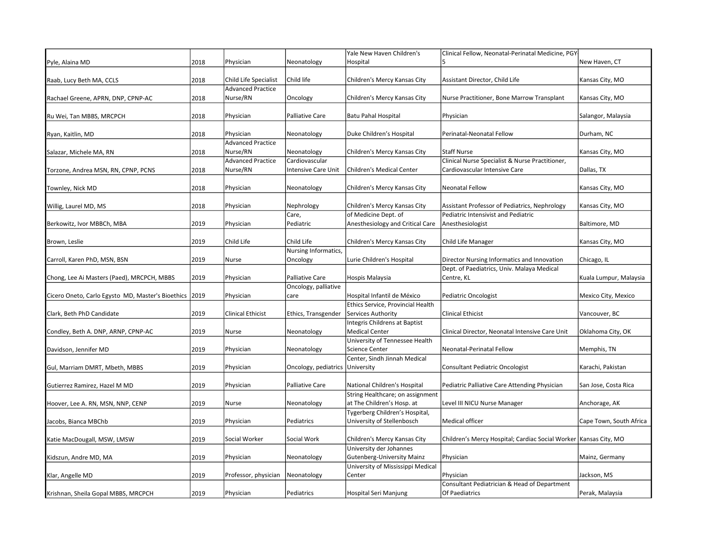|                                                   |      |                          |                        | Yale New Haven Children's         | Clinical Fellow, Neonatal-Perinatal Medicine, PGY                  |                         |
|---------------------------------------------------|------|--------------------------|------------------------|-----------------------------------|--------------------------------------------------------------------|-------------------------|
| Pyle, Alaina MD                                   | 2018 | Physician                | Neonatology            | Hospital                          | l5                                                                 | New Haven, CT           |
| Raab, Lucy Beth MA, CCLS                          | 2018 | Child Life Specialist    | Child life             | Children's Mercy Kansas City      | Assistant Director, Child Life                                     | Kansas City, MO         |
|                                                   |      | <b>Advanced Practice</b> |                        |                                   |                                                                    |                         |
| Rachael Greene, APRN, DNP, CPNP-AC                | 2018 | Nurse/RN                 | Oncology               | Children's Mercy Kansas City      | Nurse Practitioner, Bone Marrow Transplant                         | Kansas City, MO         |
|                                                   |      |                          |                        |                                   |                                                                    |                         |
| Ru Wei, Tan MBBS, MRCPCH                          | 2018 | Physician                | Palliative Care        | <b>Batu Pahal Hospital</b>        | Physician                                                          | Salangor, Malaysia      |
|                                                   |      |                          |                        |                                   |                                                                    |                         |
| Ryan, Kaitlin, MD                                 | 2018 | Physician                | Neonatology            | Duke Children's Hospital          | Perinatal-Neonatal Fellow                                          | Durham, NC              |
|                                                   |      | <b>Advanced Practice</b> |                        |                                   |                                                                    |                         |
| Salazar, Michele MA, RN                           | 2018 | Nurse/RN                 | Neonatology            | Children's Mercy Kansas City      | Staff Nurse                                                        | Kansas City, MO         |
|                                                   |      | <b>Advanced Practice</b> | Cardiovascular         |                                   | Clinical Nurse Specialist & Nurse Practitioner,                    |                         |
| Torzone, Andrea MSN, RN, CPNP, PCNS               | 2018 | Nurse/RN                 | Intensive Care Unit    | Children's Medical Center         | Cardiovascular Intensive Care                                      | Dallas, TX              |
|                                                   |      |                          |                        |                                   |                                                                    |                         |
| Townley, Nick MD                                  | 2018 | Physician                | Neonatology            | Children's Mercy Kansas City      | <b>Neonatal Fellow</b>                                             | Kansas City, MO         |
|                                                   |      |                          |                        |                                   |                                                                    |                         |
| Willig, Laurel MD, MS                             | 2018 | Physician                | Nephrology             | Children's Mercy Kansas City      | Assistant Professor of Pediatrics, Nephrology                      | Kansas City, MO         |
|                                                   |      |                          | Care,                  | of Medicine Dept. of              | Pediatric Intensivist and Pediatric                                |                         |
| Berkowitz, Ivor MBBCh, MBA                        | 2019 | Physician                | Pediatric              | Anesthesiology and Critical Care  | Anesthesiologist                                                   | Baltimore, MD           |
| Brown, Leslie                                     | 2019 | Child Life               | Child Life             | Children's Mercy Kansas City      | Child Life Manager                                                 | Kansas City, MO         |
|                                                   |      |                          | Nursing Informatics,   |                                   |                                                                    |                         |
| Carroll, Karen PhD, MSN, BSN                      | 2019 | Nurse                    | Oncology               | Lurie Children's Hospital         | Director Nursing Informatics and Innovation                        | Chicago, IL             |
|                                                   |      |                          |                        |                                   | Dept. of Paediatrics, Univ. Malaya Medical                         |                         |
| Chong, Lee Ai Masters (Paed), MRCPCH, MBBS        | 2019 | Physician                | <b>Palliative Care</b> | Hospis Malaysia                   | Centre, KL                                                         | Kuala Lumpur, Malaysia  |
|                                                   |      |                          | Oncology, palliative   |                                   |                                                                    |                         |
| Cicero Oneto, Carlo Egysto MD, Master's Bioethics | 2019 | Physician                | care                   | Hospital Infantil de México       | Pediatric Oncologist                                               | Mexico City, Mexico     |
|                                                   |      |                          |                        | Ethics Service, Provincial Health |                                                                    |                         |
| Clark, Beth PhD Candidate                         | 2019 | <b>Clinical Ethicist</b> | Ethics, Transgender    | Services Authority                | <b>Clinical Ethicist</b>                                           | Vancouver, BC           |
|                                                   |      |                          |                        | Integris Childrens at Baptist     |                                                                    |                         |
| Condley, Beth A. DNP, ARNP, CPNP-AC               | 2019 | Nurse                    | Neonatology            | <b>Medical Center</b>             | Clinical Director, Neonatal Intensive Care Unit                    | Oklahoma City, OK       |
|                                                   |      |                          |                        | University of Tennessee Health    |                                                                    |                         |
| Davidson, Jennifer MD                             | 2019 | Physician                | Neonatology            | <b>Science Center</b>             | Neonatal-Perinatal Fellow                                          | Memphis, TN             |
|                                                   |      |                          |                        | Center, Sindh Jinnah Medical      |                                                                    |                         |
| Gul, Marriam DMRT, Mbeth, MBBS                    | 2019 | Physician                | Oncology, pediatrics   | University                        | <b>Consultant Pediatric Oncologist</b>                             | Karachi, Pakistan       |
| Gutierrez Ramirez, Hazel M MD                     | 2019 | Physician                | <b>Palliative Care</b> | National Children's Hospital      | Pediatric Palliative Care Attending Physician                      | San Jose, Costa Rica    |
|                                                   |      |                          |                        | String Healthcare; on assignment  |                                                                    |                         |
| Hoover, Lee A. RN, MSN, NNP, CENP                 | 2019 | Nurse                    | Neonatology            | at The Children's Hosp. at        | Level III NICU Nurse Manager                                       | Anchorage, AK           |
|                                                   |      |                          |                        | Tygerberg Children's Hospital,    |                                                                    |                         |
| Jacobs, Bianca MBChb                              | 2019 | Physician                | Pediatrics             | University of Stellenbosch        | Medical officer                                                    | Cape Town, South Africa |
|                                                   |      |                          |                        |                                   |                                                                    |                         |
| Katie MacDougall, MSW, LMSW                       | 2019 | Social Worker            | Social Work            | Children's Mercy Kansas City      | Children's Mercy Hospital; Cardiac Social Worker   Kansas City, MO |                         |
|                                                   |      |                          |                        | University der Johannes           |                                                                    |                         |
| Kidszun, Andre MD, MA                             | 2019 | Physician                | Neonatology            | <b>Gutenberg-University Mainz</b> | Physician                                                          | Mainz, Germany          |
|                                                   |      |                          |                        | University of Mississippi Medical |                                                                    |                         |
| Klar, Angelle MD                                  | 2019 | Professor, physician     | Neonatology            | Center                            | Physician                                                          | Jackson, MS             |
|                                                   |      |                          |                        |                                   | Consultant Pediatrician & Head of Department                       |                         |
| Krishnan, Sheila Gopal MBBS, MRCPCH               | 2019 | Physician                | Pediatrics             | Hospital Seri Manjung             | Of Paediatrics                                                     | Perak, Malaysia         |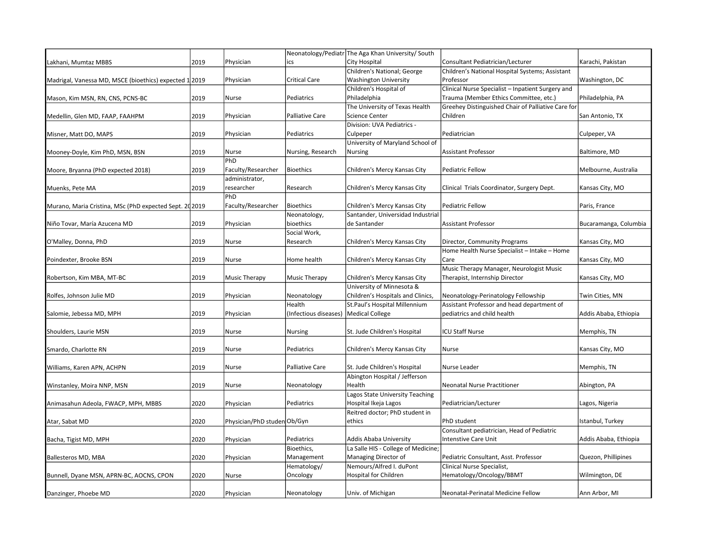| Consultant Pediatrician/Lecturer<br>Karachi, Pakistan<br>2019<br>Physician<br>City Hospital<br>Lakhani, Mumtaz MBBS<br>ics<br>Children's National; George<br>Children's National Hospital Systems; Assistant<br>Physician<br><b>Critical Care</b><br><b>Washington University</b><br>Professor<br>Washington, DC<br>Madrigal, Vanessa MD, MSCE (bioethics) expected 1 2019<br>Children's Hospital of<br>Clinical Nurse Specialist - Inpatient Surgery and<br>Pediatrics<br>Philadelphia<br>Trauma (Member Ethics Committee, etc.)<br>Philadelphia, PA<br>2019<br>Nurse<br>Mason, Kim MSN, RN, CNS, PCNS-BC<br>Greehey Distinguished Chair of Palliative Care for<br>The University of Texas Health<br>2019<br>Physician<br><b>Palliative Care</b><br><b>Science Center</b><br>Children<br>San Antonio, TX<br>Medellin, Glen MD, FAAP, FAAHPM<br>Division: UVA Pediatrics -<br>2019<br>Physician<br>Pediatrics<br>Pediatrician<br>Culpeper, VA<br>Culpeper<br>Misner, Matt DO, MAPS<br>University of Maryland School of<br>2019<br>Nurse<br>Nursing, Research<br><b>Assistant Professor</b><br>Baltimore, MD<br>Mooney-Doyle, Kim PhD, MSN, BSN<br><b>Nursing</b><br>PhD<br>Faculty/Researcher<br>Moore, Bryanna (PhD expected 2018)<br>2019<br>Bioethics<br>Children's Mercy Kansas City<br>Pediatric Fellow<br>Melbourne, Australia<br>administrator,<br>2019<br>researcher<br>Research<br>Children's Mercy Kansas City<br>Clinical Trials Coordinator, Surgery Dept.<br>Kansas City, MO<br>Muenks, Pete MA<br>PhD<br>Murano, Maria Cristina, MSc (PhD expected Sept. 202019<br>Faculty/Researcher<br>Bioethics<br>Children's Mercy Kansas City<br>Pediatric Fellow<br>Paris, France<br>Neonatology,<br>Santander, Universidad Industrial<br>Physician<br>bioethics<br>2019<br>de Santander<br>Assistant Professor<br>Bucaramanga, Columbia<br>Niño Tovar, María Azucena MD<br>Social Work,<br>2019<br>Research<br>Children's Mercy Kansas City<br>Director, Community Programs<br>Kansas City, MO<br>O'Malley, Donna, PhD<br>Nurse<br>Home Health Nurse Specialist - Intake - Home<br>Home health<br>Children's Mercy Kansas City<br>Poindexter, Brooke BSN<br>2019<br>Nurse<br>Care<br>Kansas City, MO<br>Music Therapy Manager, Neurologist Music<br>2019<br>Music Therapy<br><b>Music Therapy</b><br>Children's Mercy Kansas City<br>Therapist, Internship Director<br>Kansas City, MO<br>Robertson, Kim MBA, MT-BC<br>University of Minnesota &<br>2019<br>Physician<br>Neonatology<br>Children's Hospitals and Clinics,<br>Neonatology-Perinatology Fellowship<br>Twin Cities, MN<br>Rolfes, Johnson Julie MD<br>Health<br>St.Paul's Hospital Millennium<br>Assistant Professor and head department of<br><b>Medical College</b><br>2019<br>Physician<br>(Infectious diseases)<br>pediatrics and child health<br>Addis Ababa, Ethiopia<br>Salomie, Jebessa MD, MPH<br>2019<br>St. Jude Children's Hospital<br><b>ICU Staff Nurse</b><br>Memphis, TN<br>Shoulders, Laurie MSN<br>Nurse<br>Nursing<br>Smardo, Charlotte RN<br>2019<br>Nurse<br>Pediatrics<br>Children's Mercy Kansas City<br>Nurse<br>Kansas City, MO<br>Williams, Karen APN, ACHPN<br>2019<br>Palliative Care<br>St. Jude Children's Hospital<br>Memphis, TN<br>Nurse<br>Nurse Leader<br>Abington Hospital / Jefferson<br>Health<br>2019<br>Nurse<br>Neonatology<br>Neonatal Nurse Practitioner<br>Abington, PA<br>Winstanley, Moira NNP, MSN<br>Lagos State University Teaching<br>Pediatrics<br>Hospital Ikeja Lagos<br>Pediatrician/Lecturer<br>Animasahun Adeola, FWACP, MPH, MBBS<br>2020<br>Physician<br>Lagos, Nigeria<br>Reitred doctor; PhD student in<br>Physician/PhD studen Ob/Gyn<br>Istanbul, Turkey<br>Atar, Sabat MD<br>2020<br>ethics<br>PhD student<br>Consultant pediatrician, Head of Pediatric<br>2020<br>Pediatrics<br>Addis Ababa University<br>Intenstive Care Unit<br>Addis Ababa, Ethiopia<br>Bacha, Tigist MD, MPH<br>Physician<br>Bioethics,<br>La Salle HIS - College of Medicine;<br>Management<br>Managing Director of<br>Quezon, Phillipines<br>Ballesteros MD, MBA<br>2020<br>Physician<br>Pediatric Consultant, Asst. Professor<br>Nemours/Alfred I. duPont<br>Hematology/<br>Clinical Nurse Specialist,<br>Hospital for Children<br>Hematology/Oncology/BBMT<br>2020<br>Oncology<br>Wilmington, DE<br>Bunnell, Dyane MSN, APRN-BC, AOCNS, CPON<br>Nurse |                      |  | Neonatology/Pediatr The Aga Khan University/South |  |
|------------------------------------------------------------------------------------------------------------------------------------------------------------------------------------------------------------------------------------------------------------------------------------------------------------------------------------------------------------------------------------------------------------------------------------------------------------------------------------------------------------------------------------------------------------------------------------------------------------------------------------------------------------------------------------------------------------------------------------------------------------------------------------------------------------------------------------------------------------------------------------------------------------------------------------------------------------------------------------------------------------------------------------------------------------------------------------------------------------------------------------------------------------------------------------------------------------------------------------------------------------------------------------------------------------------------------------------------------------------------------------------------------------------------------------------------------------------------------------------------------------------------------------------------------------------------------------------------------------------------------------------------------------------------------------------------------------------------------------------------------------------------------------------------------------------------------------------------------------------------------------------------------------------------------------------------------------------------------------------------------------------------------------------------------------------------------------------------------------------------------------------------------------------------------------------------------------------------------------------------------------------------------------------------------------------------------------------------------------------------------------------------------------------------------------------------------------------------------------------------------------------------------------------------------------------------------------------------------------------------------------------------------------------------------------------------------------------------------------------------------------------------------------------------------------------------------------------------------------------------------------------------------------------------------------------------------------------------------------------------------------------------------------------------------------------------------------------------------------------------------------------------------------------------------------------------------------------------------------------------------------------------------------------------------------------------------------------------------------------------------------------------------------------------------------------------------------------------------------------------------------------------------------------------------------------------------------------------------------------------------------------------------------------------------------------------------------------------------------------------------------------------------------------------------------------------------------------------------------------------------------------------------------------------------------------------------------------------------------------------------------------------------------------------------------------------------------------------------------------------------------------------------------------------------------------------------------------------------------------------------------------------------------------------------------------------------------------------------------------|----------------------|--|---------------------------------------------------|--|
|                                                                                                                                                                                                                                                                                                                                                                                                                                                                                                                                                                                                                                                                                                                                                                                                                                                                                                                                                                                                                                                                                                                                                                                                                                                                                                                                                                                                                                                                                                                                                                                                                                                                                                                                                                                                                                                                                                                                                                                                                                                                                                                                                                                                                                                                                                                                                                                                                                                                                                                                                                                                                                                                                                                                                                                                                                                                                                                                                                                                                                                                                                                                                                                                                                                                                                                                                                                                                                                                                                                                                                                                                                                                                                                                                                                                                                                                                                                                                                                                                                                                                                                                                                                                                                                                                                                                                                  |                      |  |                                                   |  |
|                                                                                                                                                                                                                                                                                                                                                                                                                                                                                                                                                                                                                                                                                                                                                                                                                                                                                                                                                                                                                                                                                                                                                                                                                                                                                                                                                                                                                                                                                                                                                                                                                                                                                                                                                                                                                                                                                                                                                                                                                                                                                                                                                                                                                                                                                                                                                                                                                                                                                                                                                                                                                                                                                                                                                                                                                                                                                                                                                                                                                                                                                                                                                                                                                                                                                                                                                                                                                                                                                                                                                                                                                                                                                                                                                                                                                                                                                                                                                                                                                                                                                                                                                                                                                                                                                                                                                                  |                      |  |                                                   |  |
|                                                                                                                                                                                                                                                                                                                                                                                                                                                                                                                                                                                                                                                                                                                                                                                                                                                                                                                                                                                                                                                                                                                                                                                                                                                                                                                                                                                                                                                                                                                                                                                                                                                                                                                                                                                                                                                                                                                                                                                                                                                                                                                                                                                                                                                                                                                                                                                                                                                                                                                                                                                                                                                                                                                                                                                                                                                                                                                                                                                                                                                                                                                                                                                                                                                                                                                                                                                                                                                                                                                                                                                                                                                                                                                                                                                                                                                                                                                                                                                                                                                                                                                                                                                                                                                                                                                                                                  |                      |  |                                                   |  |
|                                                                                                                                                                                                                                                                                                                                                                                                                                                                                                                                                                                                                                                                                                                                                                                                                                                                                                                                                                                                                                                                                                                                                                                                                                                                                                                                                                                                                                                                                                                                                                                                                                                                                                                                                                                                                                                                                                                                                                                                                                                                                                                                                                                                                                                                                                                                                                                                                                                                                                                                                                                                                                                                                                                                                                                                                                                                                                                                                                                                                                                                                                                                                                                                                                                                                                                                                                                                                                                                                                                                                                                                                                                                                                                                                                                                                                                                                                                                                                                                                                                                                                                                                                                                                                                                                                                                                                  |                      |  |                                                   |  |
|                                                                                                                                                                                                                                                                                                                                                                                                                                                                                                                                                                                                                                                                                                                                                                                                                                                                                                                                                                                                                                                                                                                                                                                                                                                                                                                                                                                                                                                                                                                                                                                                                                                                                                                                                                                                                                                                                                                                                                                                                                                                                                                                                                                                                                                                                                                                                                                                                                                                                                                                                                                                                                                                                                                                                                                                                                                                                                                                                                                                                                                                                                                                                                                                                                                                                                                                                                                                                                                                                                                                                                                                                                                                                                                                                                                                                                                                                                                                                                                                                                                                                                                                                                                                                                                                                                                                                                  |                      |  |                                                   |  |
|                                                                                                                                                                                                                                                                                                                                                                                                                                                                                                                                                                                                                                                                                                                                                                                                                                                                                                                                                                                                                                                                                                                                                                                                                                                                                                                                                                                                                                                                                                                                                                                                                                                                                                                                                                                                                                                                                                                                                                                                                                                                                                                                                                                                                                                                                                                                                                                                                                                                                                                                                                                                                                                                                                                                                                                                                                                                                                                                                                                                                                                                                                                                                                                                                                                                                                                                                                                                                                                                                                                                                                                                                                                                                                                                                                                                                                                                                                                                                                                                                                                                                                                                                                                                                                                                                                                                                                  |                      |  |                                                   |  |
|                                                                                                                                                                                                                                                                                                                                                                                                                                                                                                                                                                                                                                                                                                                                                                                                                                                                                                                                                                                                                                                                                                                                                                                                                                                                                                                                                                                                                                                                                                                                                                                                                                                                                                                                                                                                                                                                                                                                                                                                                                                                                                                                                                                                                                                                                                                                                                                                                                                                                                                                                                                                                                                                                                                                                                                                                                                                                                                                                                                                                                                                                                                                                                                                                                                                                                                                                                                                                                                                                                                                                                                                                                                                                                                                                                                                                                                                                                                                                                                                                                                                                                                                                                                                                                                                                                                                                                  |                      |  |                                                   |  |
|                                                                                                                                                                                                                                                                                                                                                                                                                                                                                                                                                                                                                                                                                                                                                                                                                                                                                                                                                                                                                                                                                                                                                                                                                                                                                                                                                                                                                                                                                                                                                                                                                                                                                                                                                                                                                                                                                                                                                                                                                                                                                                                                                                                                                                                                                                                                                                                                                                                                                                                                                                                                                                                                                                                                                                                                                                                                                                                                                                                                                                                                                                                                                                                                                                                                                                                                                                                                                                                                                                                                                                                                                                                                                                                                                                                                                                                                                                                                                                                                                                                                                                                                                                                                                                                                                                                                                                  |                      |  |                                                   |  |
|                                                                                                                                                                                                                                                                                                                                                                                                                                                                                                                                                                                                                                                                                                                                                                                                                                                                                                                                                                                                                                                                                                                                                                                                                                                                                                                                                                                                                                                                                                                                                                                                                                                                                                                                                                                                                                                                                                                                                                                                                                                                                                                                                                                                                                                                                                                                                                                                                                                                                                                                                                                                                                                                                                                                                                                                                                                                                                                                                                                                                                                                                                                                                                                                                                                                                                                                                                                                                                                                                                                                                                                                                                                                                                                                                                                                                                                                                                                                                                                                                                                                                                                                                                                                                                                                                                                                                                  |                      |  |                                                   |  |
|                                                                                                                                                                                                                                                                                                                                                                                                                                                                                                                                                                                                                                                                                                                                                                                                                                                                                                                                                                                                                                                                                                                                                                                                                                                                                                                                                                                                                                                                                                                                                                                                                                                                                                                                                                                                                                                                                                                                                                                                                                                                                                                                                                                                                                                                                                                                                                                                                                                                                                                                                                                                                                                                                                                                                                                                                                                                                                                                                                                                                                                                                                                                                                                                                                                                                                                                                                                                                                                                                                                                                                                                                                                                                                                                                                                                                                                                                                                                                                                                                                                                                                                                                                                                                                                                                                                                                                  |                      |  |                                                   |  |
|                                                                                                                                                                                                                                                                                                                                                                                                                                                                                                                                                                                                                                                                                                                                                                                                                                                                                                                                                                                                                                                                                                                                                                                                                                                                                                                                                                                                                                                                                                                                                                                                                                                                                                                                                                                                                                                                                                                                                                                                                                                                                                                                                                                                                                                                                                                                                                                                                                                                                                                                                                                                                                                                                                                                                                                                                                                                                                                                                                                                                                                                                                                                                                                                                                                                                                                                                                                                                                                                                                                                                                                                                                                                                                                                                                                                                                                                                                                                                                                                                                                                                                                                                                                                                                                                                                                                                                  |                      |  |                                                   |  |
|                                                                                                                                                                                                                                                                                                                                                                                                                                                                                                                                                                                                                                                                                                                                                                                                                                                                                                                                                                                                                                                                                                                                                                                                                                                                                                                                                                                                                                                                                                                                                                                                                                                                                                                                                                                                                                                                                                                                                                                                                                                                                                                                                                                                                                                                                                                                                                                                                                                                                                                                                                                                                                                                                                                                                                                                                                                                                                                                                                                                                                                                                                                                                                                                                                                                                                                                                                                                                                                                                                                                                                                                                                                                                                                                                                                                                                                                                                                                                                                                                                                                                                                                                                                                                                                                                                                                                                  |                      |  |                                                   |  |
|                                                                                                                                                                                                                                                                                                                                                                                                                                                                                                                                                                                                                                                                                                                                                                                                                                                                                                                                                                                                                                                                                                                                                                                                                                                                                                                                                                                                                                                                                                                                                                                                                                                                                                                                                                                                                                                                                                                                                                                                                                                                                                                                                                                                                                                                                                                                                                                                                                                                                                                                                                                                                                                                                                                                                                                                                                                                                                                                                                                                                                                                                                                                                                                                                                                                                                                                                                                                                                                                                                                                                                                                                                                                                                                                                                                                                                                                                                                                                                                                                                                                                                                                                                                                                                                                                                                                                                  |                      |  |                                                   |  |
|                                                                                                                                                                                                                                                                                                                                                                                                                                                                                                                                                                                                                                                                                                                                                                                                                                                                                                                                                                                                                                                                                                                                                                                                                                                                                                                                                                                                                                                                                                                                                                                                                                                                                                                                                                                                                                                                                                                                                                                                                                                                                                                                                                                                                                                                                                                                                                                                                                                                                                                                                                                                                                                                                                                                                                                                                                                                                                                                                                                                                                                                                                                                                                                                                                                                                                                                                                                                                                                                                                                                                                                                                                                                                                                                                                                                                                                                                                                                                                                                                                                                                                                                                                                                                                                                                                                                                                  |                      |  |                                                   |  |
|                                                                                                                                                                                                                                                                                                                                                                                                                                                                                                                                                                                                                                                                                                                                                                                                                                                                                                                                                                                                                                                                                                                                                                                                                                                                                                                                                                                                                                                                                                                                                                                                                                                                                                                                                                                                                                                                                                                                                                                                                                                                                                                                                                                                                                                                                                                                                                                                                                                                                                                                                                                                                                                                                                                                                                                                                                                                                                                                                                                                                                                                                                                                                                                                                                                                                                                                                                                                                                                                                                                                                                                                                                                                                                                                                                                                                                                                                                                                                                                                                                                                                                                                                                                                                                                                                                                                                                  |                      |  |                                                   |  |
|                                                                                                                                                                                                                                                                                                                                                                                                                                                                                                                                                                                                                                                                                                                                                                                                                                                                                                                                                                                                                                                                                                                                                                                                                                                                                                                                                                                                                                                                                                                                                                                                                                                                                                                                                                                                                                                                                                                                                                                                                                                                                                                                                                                                                                                                                                                                                                                                                                                                                                                                                                                                                                                                                                                                                                                                                                                                                                                                                                                                                                                                                                                                                                                                                                                                                                                                                                                                                                                                                                                                                                                                                                                                                                                                                                                                                                                                                                                                                                                                                                                                                                                                                                                                                                                                                                                                                                  |                      |  |                                                   |  |
|                                                                                                                                                                                                                                                                                                                                                                                                                                                                                                                                                                                                                                                                                                                                                                                                                                                                                                                                                                                                                                                                                                                                                                                                                                                                                                                                                                                                                                                                                                                                                                                                                                                                                                                                                                                                                                                                                                                                                                                                                                                                                                                                                                                                                                                                                                                                                                                                                                                                                                                                                                                                                                                                                                                                                                                                                                                                                                                                                                                                                                                                                                                                                                                                                                                                                                                                                                                                                                                                                                                                                                                                                                                                                                                                                                                                                                                                                                                                                                                                                                                                                                                                                                                                                                                                                                                                                                  |                      |  |                                                   |  |
|                                                                                                                                                                                                                                                                                                                                                                                                                                                                                                                                                                                                                                                                                                                                                                                                                                                                                                                                                                                                                                                                                                                                                                                                                                                                                                                                                                                                                                                                                                                                                                                                                                                                                                                                                                                                                                                                                                                                                                                                                                                                                                                                                                                                                                                                                                                                                                                                                                                                                                                                                                                                                                                                                                                                                                                                                                                                                                                                                                                                                                                                                                                                                                                                                                                                                                                                                                                                                                                                                                                                                                                                                                                                                                                                                                                                                                                                                                                                                                                                                                                                                                                                                                                                                                                                                                                                                                  |                      |  |                                                   |  |
|                                                                                                                                                                                                                                                                                                                                                                                                                                                                                                                                                                                                                                                                                                                                                                                                                                                                                                                                                                                                                                                                                                                                                                                                                                                                                                                                                                                                                                                                                                                                                                                                                                                                                                                                                                                                                                                                                                                                                                                                                                                                                                                                                                                                                                                                                                                                                                                                                                                                                                                                                                                                                                                                                                                                                                                                                                                                                                                                                                                                                                                                                                                                                                                                                                                                                                                                                                                                                                                                                                                                                                                                                                                                                                                                                                                                                                                                                                                                                                                                                                                                                                                                                                                                                                                                                                                                                                  |                      |  |                                                   |  |
|                                                                                                                                                                                                                                                                                                                                                                                                                                                                                                                                                                                                                                                                                                                                                                                                                                                                                                                                                                                                                                                                                                                                                                                                                                                                                                                                                                                                                                                                                                                                                                                                                                                                                                                                                                                                                                                                                                                                                                                                                                                                                                                                                                                                                                                                                                                                                                                                                                                                                                                                                                                                                                                                                                                                                                                                                                                                                                                                                                                                                                                                                                                                                                                                                                                                                                                                                                                                                                                                                                                                                                                                                                                                                                                                                                                                                                                                                                                                                                                                                                                                                                                                                                                                                                                                                                                                                                  |                      |  |                                                   |  |
|                                                                                                                                                                                                                                                                                                                                                                                                                                                                                                                                                                                                                                                                                                                                                                                                                                                                                                                                                                                                                                                                                                                                                                                                                                                                                                                                                                                                                                                                                                                                                                                                                                                                                                                                                                                                                                                                                                                                                                                                                                                                                                                                                                                                                                                                                                                                                                                                                                                                                                                                                                                                                                                                                                                                                                                                                                                                                                                                                                                                                                                                                                                                                                                                                                                                                                                                                                                                                                                                                                                                                                                                                                                                                                                                                                                                                                                                                                                                                                                                                                                                                                                                                                                                                                                                                                                                                                  |                      |  |                                                   |  |
|                                                                                                                                                                                                                                                                                                                                                                                                                                                                                                                                                                                                                                                                                                                                                                                                                                                                                                                                                                                                                                                                                                                                                                                                                                                                                                                                                                                                                                                                                                                                                                                                                                                                                                                                                                                                                                                                                                                                                                                                                                                                                                                                                                                                                                                                                                                                                                                                                                                                                                                                                                                                                                                                                                                                                                                                                                                                                                                                                                                                                                                                                                                                                                                                                                                                                                                                                                                                                                                                                                                                                                                                                                                                                                                                                                                                                                                                                                                                                                                                                                                                                                                                                                                                                                                                                                                                                                  |                      |  |                                                   |  |
|                                                                                                                                                                                                                                                                                                                                                                                                                                                                                                                                                                                                                                                                                                                                                                                                                                                                                                                                                                                                                                                                                                                                                                                                                                                                                                                                                                                                                                                                                                                                                                                                                                                                                                                                                                                                                                                                                                                                                                                                                                                                                                                                                                                                                                                                                                                                                                                                                                                                                                                                                                                                                                                                                                                                                                                                                                                                                                                                                                                                                                                                                                                                                                                                                                                                                                                                                                                                                                                                                                                                                                                                                                                                                                                                                                                                                                                                                                                                                                                                                                                                                                                                                                                                                                                                                                                                                                  |                      |  |                                                   |  |
|                                                                                                                                                                                                                                                                                                                                                                                                                                                                                                                                                                                                                                                                                                                                                                                                                                                                                                                                                                                                                                                                                                                                                                                                                                                                                                                                                                                                                                                                                                                                                                                                                                                                                                                                                                                                                                                                                                                                                                                                                                                                                                                                                                                                                                                                                                                                                                                                                                                                                                                                                                                                                                                                                                                                                                                                                                                                                                                                                                                                                                                                                                                                                                                                                                                                                                                                                                                                                                                                                                                                                                                                                                                                                                                                                                                                                                                                                                                                                                                                                                                                                                                                                                                                                                                                                                                                                                  |                      |  |                                                   |  |
|                                                                                                                                                                                                                                                                                                                                                                                                                                                                                                                                                                                                                                                                                                                                                                                                                                                                                                                                                                                                                                                                                                                                                                                                                                                                                                                                                                                                                                                                                                                                                                                                                                                                                                                                                                                                                                                                                                                                                                                                                                                                                                                                                                                                                                                                                                                                                                                                                                                                                                                                                                                                                                                                                                                                                                                                                                                                                                                                                                                                                                                                                                                                                                                                                                                                                                                                                                                                                                                                                                                                                                                                                                                                                                                                                                                                                                                                                                                                                                                                                                                                                                                                                                                                                                                                                                                                                                  |                      |  |                                                   |  |
|                                                                                                                                                                                                                                                                                                                                                                                                                                                                                                                                                                                                                                                                                                                                                                                                                                                                                                                                                                                                                                                                                                                                                                                                                                                                                                                                                                                                                                                                                                                                                                                                                                                                                                                                                                                                                                                                                                                                                                                                                                                                                                                                                                                                                                                                                                                                                                                                                                                                                                                                                                                                                                                                                                                                                                                                                                                                                                                                                                                                                                                                                                                                                                                                                                                                                                                                                                                                                                                                                                                                                                                                                                                                                                                                                                                                                                                                                                                                                                                                                                                                                                                                                                                                                                                                                                                                                                  |                      |  |                                                   |  |
|                                                                                                                                                                                                                                                                                                                                                                                                                                                                                                                                                                                                                                                                                                                                                                                                                                                                                                                                                                                                                                                                                                                                                                                                                                                                                                                                                                                                                                                                                                                                                                                                                                                                                                                                                                                                                                                                                                                                                                                                                                                                                                                                                                                                                                                                                                                                                                                                                                                                                                                                                                                                                                                                                                                                                                                                                                                                                                                                                                                                                                                                                                                                                                                                                                                                                                                                                                                                                                                                                                                                                                                                                                                                                                                                                                                                                                                                                                                                                                                                                                                                                                                                                                                                                                                                                                                                                                  |                      |  |                                                   |  |
|                                                                                                                                                                                                                                                                                                                                                                                                                                                                                                                                                                                                                                                                                                                                                                                                                                                                                                                                                                                                                                                                                                                                                                                                                                                                                                                                                                                                                                                                                                                                                                                                                                                                                                                                                                                                                                                                                                                                                                                                                                                                                                                                                                                                                                                                                                                                                                                                                                                                                                                                                                                                                                                                                                                                                                                                                                                                                                                                                                                                                                                                                                                                                                                                                                                                                                                                                                                                                                                                                                                                                                                                                                                                                                                                                                                                                                                                                                                                                                                                                                                                                                                                                                                                                                                                                                                                                                  |                      |  |                                                   |  |
|                                                                                                                                                                                                                                                                                                                                                                                                                                                                                                                                                                                                                                                                                                                                                                                                                                                                                                                                                                                                                                                                                                                                                                                                                                                                                                                                                                                                                                                                                                                                                                                                                                                                                                                                                                                                                                                                                                                                                                                                                                                                                                                                                                                                                                                                                                                                                                                                                                                                                                                                                                                                                                                                                                                                                                                                                                                                                                                                                                                                                                                                                                                                                                                                                                                                                                                                                                                                                                                                                                                                                                                                                                                                                                                                                                                                                                                                                                                                                                                                                                                                                                                                                                                                                                                                                                                                                                  |                      |  |                                                   |  |
|                                                                                                                                                                                                                                                                                                                                                                                                                                                                                                                                                                                                                                                                                                                                                                                                                                                                                                                                                                                                                                                                                                                                                                                                                                                                                                                                                                                                                                                                                                                                                                                                                                                                                                                                                                                                                                                                                                                                                                                                                                                                                                                                                                                                                                                                                                                                                                                                                                                                                                                                                                                                                                                                                                                                                                                                                                                                                                                                                                                                                                                                                                                                                                                                                                                                                                                                                                                                                                                                                                                                                                                                                                                                                                                                                                                                                                                                                                                                                                                                                                                                                                                                                                                                                                                                                                                                                                  |                      |  |                                                   |  |
|                                                                                                                                                                                                                                                                                                                                                                                                                                                                                                                                                                                                                                                                                                                                                                                                                                                                                                                                                                                                                                                                                                                                                                                                                                                                                                                                                                                                                                                                                                                                                                                                                                                                                                                                                                                                                                                                                                                                                                                                                                                                                                                                                                                                                                                                                                                                                                                                                                                                                                                                                                                                                                                                                                                                                                                                                                                                                                                                                                                                                                                                                                                                                                                                                                                                                                                                                                                                                                                                                                                                                                                                                                                                                                                                                                                                                                                                                                                                                                                                                                                                                                                                                                                                                                                                                                                                                                  |                      |  |                                                   |  |
|                                                                                                                                                                                                                                                                                                                                                                                                                                                                                                                                                                                                                                                                                                                                                                                                                                                                                                                                                                                                                                                                                                                                                                                                                                                                                                                                                                                                                                                                                                                                                                                                                                                                                                                                                                                                                                                                                                                                                                                                                                                                                                                                                                                                                                                                                                                                                                                                                                                                                                                                                                                                                                                                                                                                                                                                                                                                                                                                                                                                                                                                                                                                                                                                                                                                                                                                                                                                                                                                                                                                                                                                                                                                                                                                                                                                                                                                                                                                                                                                                                                                                                                                                                                                                                                                                                                                                                  |                      |  |                                                   |  |
|                                                                                                                                                                                                                                                                                                                                                                                                                                                                                                                                                                                                                                                                                                                                                                                                                                                                                                                                                                                                                                                                                                                                                                                                                                                                                                                                                                                                                                                                                                                                                                                                                                                                                                                                                                                                                                                                                                                                                                                                                                                                                                                                                                                                                                                                                                                                                                                                                                                                                                                                                                                                                                                                                                                                                                                                                                                                                                                                                                                                                                                                                                                                                                                                                                                                                                                                                                                                                                                                                                                                                                                                                                                                                                                                                                                                                                                                                                                                                                                                                                                                                                                                                                                                                                                                                                                                                                  |                      |  |                                                   |  |
|                                                                                                                                                                                                                                                                                                                                                                                                                                                                                                                                                                                                                                                                                                                                                                                                                                                                                                                                                                                                                                                                                                                                                                                                                                                                                                                                                                                                                                                                                                                                                                                                                                                                                                                                                                                                                                                                                                                                                                                                                                                                                                                                                                                                                                                                                                                                                                                                                                                                                                                                                                                                                                                                                                                                                                                                                                                                                                                                                                                                                                                                                                                                                                                                                                                                                                                                                                                                                                                                                                                                                                                                                                                                                                                                                                                                                                                                                                                                                                                                                                                                                                                                                                                                                                                                                                                                                                  |                      |  |                                                   |  |
|                                                                                                                                                                                                                                                                                                                                                                                                                                                                                                                                                                                                                                                                                                                                                                                                                                                                                                                                                                                                                                                                                                                                                                                                                                                                                                                                                                                                                                                                                                                                                                                                                                                                                                                                                                                                                                                                                                                                                                                                                                                                                                                                                                                                                                                                                                                                                                                                                                                                                                                                                                                                                                                                                                                                                                                                                                                                                                                                                                                                                                                                                                                                                                                                                                                                                                                                                                                                                                                                                                                                                                                                                                                                                                                                                                                                                                                                                                                                                                                                                                                                                                                                                                                                                                                                                                                                                                  |                      |  |                                                   |  |
|                                                                                                                                                                                                                                                                                                                                                                                                                                                                                                                                                                                                                                                                                                                                                                                                                                                                                                                                                                                                                                                                                                                                                                                                                                                                                                                                                                                                                                                                                                                                                                                                                                                                                                                                                                                                                                                                                                                                                                                                                                                                                                                                                                                                                                                                                                                                                                                                                                                                                                                                                                                                                                                                                                                                                                                                                                                                                                                                                                                                                                                                                                                                                                                                                                                                                                                                                                                                                                                                                                                                                                                                                                                                                                                                                                                                                                                                                                                                                                                                                                                                                                                                                                                                                                                                                                                                                                  |                      |  |                                                   |  |
|                                                                                                                                                                                                                                                                                                                                                                                                                                                                                                                                                                                                                                                                                                                                                                                                                                                                                                                                                                                                                                                                                                                                                                                                                                                                                                                                                                                                                                                                                                                                                                                                                                                                                                                                                                                                                                                                                                                                                                                                                                                                                                                                                                                                                                                                                                                                                                                                                                                                                                                                                                                                                                                                                                                                                                                                                                                                                                                                                                                                                                                                                                                                                                                                                                                                                                                                                                                                                                                                                                                                                                                                                                                                                                                                                                                                                                                                                                                                                                                                                                                                                                                                                                                                                                                                                                                                                                  |                      |  |                                                   |  |
|                                                                                                                                                                                                                                                                                                                                                                                                                                                                                                                                                                                                                                                                                                                                                                                                                                                                                                                                                                                                                                                                                                                                                                                                                                                                                                                                                                                                                                                                                                                                                                                                                                                                                                                                                                                                                                                                                                                                                                                                                                                                                                                                                                                                                                                                                                                                                                                                                                                                                                                                                                                                                                                                                                                                                                                                                                                                                                                                                                                                                                                                                                                                                                                                                                                                                                                                                                                                                                                                                                                                                                                                                                                                                                                                                                                                                                                                                                                                                                                                                                                                                                                                                                                                                                                                                                                                                                  |                      |  |                                                   |  |
|                                                                                                                                                                                                                                                                                                                                                                                                                                                                                                                                                                                                                                                                                                                                                                                                                                                                                                                                                                                                                                                                                                                                                                                                                                                                                                                                                                                                                                                                                                                                                                                                                                                                                                                                                                                                                                                                                                                                                                                                                                                                                                                                                                                                                                                                                                                                                                                                                                                                                                                                                                                                                                                                                                                                                                                                                                                                                                                                                                                                                                                                                                                                                                                                                                                                                                                                                                                                                                                                                                                                                                                                                                                                                                                                                                                                                                                                                                                                                                                                                                                                                                                                                                                                                                                                                                                                                                  |                      |  |                                                   |  |
|                                                                                                                                                                                                                                                                                                                                                                                                                                                                                                                                                                                                                                                                                                                                                                                                                                                                                                                                                                                                                                                                                                                                                                                                                                                                                                                                                                                                                                                                                                                                                                                                                                                                                                                                                                                                                                                                                                                                                                                                                                                                                                                                                                                                                                                                                                                                                                                                                                                                                                                                                                                                                                                                                                                                                                                                                                                                                                                                                                                                                                                                                                                                                                                                                                                                                                                                                                                                                                                                                                                                                                                                                                                                                                                                                                                                                                                                                                                                                                                                                                                                                                                                                                                                                                                                                                                                                                  |                      |  |                                                   |  |
|                                                                                                                                                                                                                                                                                                                                                                                                                                                                                                                                                                                                                                                                                                                                                                                                                                                                                                                                                                                                                                                                                                                                                                                                                                                                                                                                                                                                                                                                                                                                                                                                                                                                                                                                                                                                                                                                                                                                                                                                                                                                                                                                                                                                                                                                                                                                                                                                                                                                                                                                                                                                                                                                                                                                                                                                                                                                                                                                                                                                                                                                                                                                                                                                                                                                                                                                                                                                                                                                                                                                                                                                                                                                                                                                                                                                                                                                                                                                                                                                                                                                                                                                                                                                                                                                                                                                                                  |                      |  |                                                   |  |
|                                                                                                                                                                                                                                                                                                                                                                                                                                                                                                                                                                                                                                                                                                                                                                                                                                                                                                                                                                                                                                                                                                                                                                                                                                                                                                                                                                                                                                                                                                                                                                                                                                                                                                                                                                                                                                                                                                                                                                                                                                                                                                                                                                                                                                                                                                                                                                                                                                                                                                                                                                                                                                                                                                                                                                                                                                                                                                                                                                                                                                                                                                                                                                                                                                                                                                                                                                                                                                                                                                                                                                                                                                                                                                                                                                                                                                                                                                                                                                                                                                                                                                                                                                                                                                                                                                                                                                  |                      |  |                                                   |  |
|                                                                                                                                                                                                                                                                                                                                                                                                                                                                                                                                                                                                                                                                                                                                                                                                                                                                                                                                                                                                                                                                                                                                                                                                                                                                                                                                                                                                                                                                                                                                                                                                                                                                                                                                                                                                                                                                                                                                                                                                                                                                                                                                                                                                                                                                                                                                                                                                                                                                                                                                                                                                                                                                                                                                                                                                                                                                                                                                                                                                                                                                                                                                                                                                                                                                                                                                                                                                                                                                                                                                                                                                                                                                                                                                                                                                                                                                                                                                                                                                                                                                                                                                                                                                                                                                                                                                                                  |                      |  |                                                   |  |
|                                                                                                                                                                                                                                                                                                                                                                                                                                                                                                                                                                                                                                                                                                                                                                                                                                                                                                                                                                                                                                                                                                                                                                                                                                                                                                                                                                                                                                                                                                                                                                                                                                                                                                                                                                                                                                                                                                                                                                                                                                                                                                                                                                                                                                                                                                                                                                                                                                                                                                                                                                                                                                                                                                                                                                                                                                                                                                                                                                                                                                                                                                                                                                                                                                                                                                                                                                                                                                                                                                                                                                                                                                                                                                                                                                                                                                                                                                                                                                                                                                                                                                                                                                                                                                                                                                                                                                  |                      |  |                                                   |  |
|                                                                                                                                                                                                                                                                                                                                                                                                                                                                                                                                                                                                                                                                                                                                                                                                                                                                                                                                                                                                                                                                                                                                                                                                                                                                                                                                                                                                                                                                                                                                                                                                                                                                                                                                                                                                                                                                                                                                                                                                                                                                                                                                                                                                                                                                                                                                                                                                                                                                                                                                                                                                                                                                                                                                                                                                                                                                                                                                                                                                                                                                                                                                                                                                                                                                                                                                                                                                                                                                                                                                                                                                                                                                                                                                                                                                                                                                                                                                                                                                                                                                                                                                                                                                                                                                                                                                                                  |                      |  |                                                   |  |
|                                                                                                                                                                                                                                                                                                                                                                                                                                                                                                                                                                                                                                                                                                                                                                                                                                                                                                                                                                                                                                                                                                                                                                                                                                                                                                                                                                                                                                                                                                                                                                                                                                                                                                                                                                                                                                                                                                                                                                                                                                                                                                                                                                                                                                                                                                                                                                                                                                                                                                                                                                                                                                                                                                                                                                                                                                                                                                                                                                                                                                                                                                                                                                                                                                                                                                                                                                                                                                                                                                                                                                                                                                                                                                                                                                                                                                                                                                                                                                                                                                                                                                                                                                                                                                                                                                                                                                  |                      |  |                                                   |  |
|                                                                                                                                                                                                                                                                                                                                                                                                                                                                                                                                                                                                                                                                                                                                                                                                                                                                                                                                                                                                                                                                                                                                                                                                                                                                                                                                                                                                                                                                                                                                                                                                                                                                                                                                                                                                                                                                                                                                                                                                                                                                                                                                                                                                                                                                                                                                                                                                                                                                                                                                                                                                                                                                                                                                                                                                                                                                                                                                                                                                                                                                                                                                                                                                                                                                                                                                                                                                                                                                                                                                                                                                                                                                                                                                                                                                                                                                                                                                                                                                                                                                                                                                                                                                                                                                                                                                                                  |                      |  |                                                   |  |
|                                                                                                                                                                                                                                                                                                                                                                                                                                                                                                                                                                                                                                                                                                                                                                                                                                                                                                                                                                                                                                                                                                                                                                                                                                                                                                                                                                                                                                                                                                                                                                                                                                                                                                                                                                                                                                                                                                                                                                                                                                                                                                                                                                                                                                                                                                                                                                                                                                                                                                                                                                                                                                                                                                                                                                                                                                                                                                                                                                                                                                                                                                                                                                                                                                                                                                                                                                                                                                                                                                                                                                                                                                                                                                                                                                                                                                                                                                                                                                                                                                                                                                                                                                                                                                                                                                                                                                  |                      |  |                                                   |  |
| 2020<br>Neonatology<br>Univ. of Michigan<br>Ann Arbor, MI<br>Physician<br>Neonatal-Perinatal Medicine Fellow                                                                                                                                                                                                                                                                                                                                                                                                                                                                                                                                                                                                                                                                                                                                                                                                                                                                                                                                                                                                                                                                                                                                                                                                                                                                                                                                                                                                                                                                                                                                                                                                                                                                                                                                                                                                                                                                                                                                                                                                                                                                                                                                                                                                                                                                                                                                                                                                                                                                                                                                                                                                                                                                                                                                                                                                                                                                                                                                                                                                                                                                                                                                                                                                                                                                                                                                                                                                                                                                                                                                                                                                                                                                                                                                                                                                                                                                                                                                                                                                                                                                                                                                                                                                                                                     | Danzinger, Phoebe MD |  |                                                   |  |